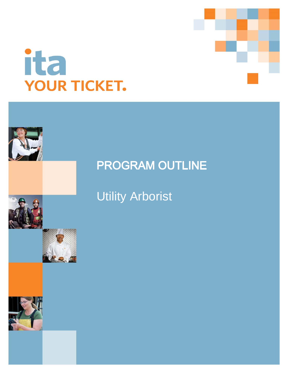

# ita<br>YOUR TICKET.

# **PROGRAM OUTLINE**

Utility Arborist

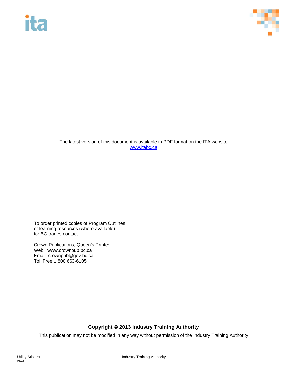



The latest version of this document is available in PDF format on the ITA website www.itabc.ca

To order printed copies of Program Outlines or learning resources (where available) for BC trades contact:

Crown Publications, Queen's Printer Web: www.crownpub.bc.ca Email: crownpub@gov.bc.ca Toll Free 1 800 663-6105

#### **Copyright © 2013 Industry Training Authority**

This publication may not be modified in any way without permission of the Industry Training Authority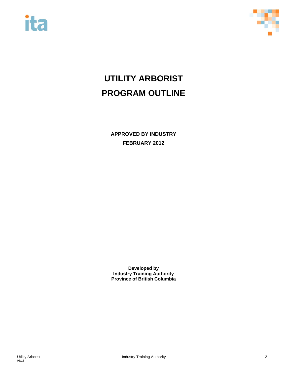



# **UTILITY ARBORIST PROGRAM OUTLINE**

**APPROVED BY INDUSTRY FEBRUARY 2012** 

**Developed by Industry Training Authority Province of British Columbia**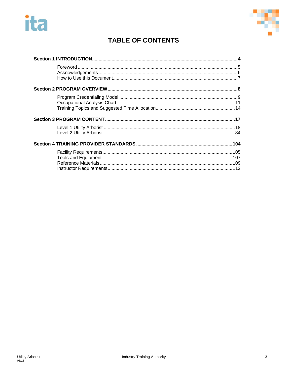



### **TABLE OF CONTENTS**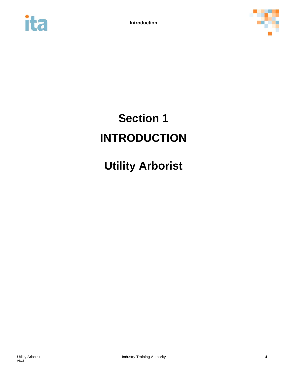



# **Section 1 INTRODUCTION**

# **Utility Arborist**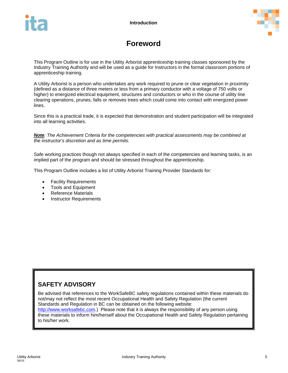

### **Foreword**

This Program Outline is for use in the Utility Arborist apprenticeship training classes sponsored by the Industry Training Authority and will be used as a guide for Instructors in the formal classroom portions of apprenticeship training.

A Utility Arborist is a person who undertakes any work required to prune or clear vegetation in proximity (defined as a distance of three meters or less from a primary conductor with a voltage of 750 volts or higher) to energized electrical equipment, structures and conductors or who in the course of utility line clearing operations, prunes, falls or removes trees which could come into contact with energized power lines.

Since this is a practical trade, it is expected that demonstration and student participation will be integrated into all learning activities.

*Note: The Achievement Criteria for the competencies with practical assessments may be combined at the instructor's discretion and as time permits.* 

Safe working practices though not always specified in each of the competencies and learning tasks, is an implied part of the program and should be stressed throughout the apprenticeship.

This Program Outline includes a list of Utility Arborist Training Provider Standards for:

- Facility Requirements
- Tools and Equipment
- Reference Materials
- Instructor Requirements

### **SAFETY ADVISORY**

Be advised that references to the WorkSafeBC safety regulations contained within these materials do not/may not reflect the most recent Occupational Health and Safety Regulation (the current Standards and Regulation in BC can be obtained on the following website: http://www.worksafebc.com.) Please note that it is always the responsibility of any person using

these materials to inform him/herself about the Occupational Health and Safety Regulation pertaining to his/her work.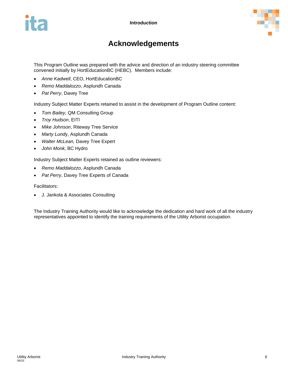



# **Acknowledgements**

This Program Outline was prepared with the advice and direction of an industry steering committee convened initially by HortEducationBC (HEBC). Members include:

- *Anne Kadwell*, CEO, HortEducationBC
- *Remo Maddalozzo*, Asplundh Canada
- *Pat Perry*, Davey Tree

Industry Subject Matter Experts retained to assist in the development of Program Outline content:

- *Tom Bailey,* QM Consulting Group
- *Troy Hudson*, EITI
- *Mike Johnson*, Riteway Tree Service
- *Marty Lund*y, Asplundh Canada
- *Walter McLean,* Davey Tree Expert
- *John Monk,* BC Hydro

Industry Subject Matter Experts retained as outline reviewers:

- *Remo Maddalozzo*, Asplundh Canada
- *Pat Perry*, Davey Tree Experts of Canada

#### Facilitators:

J. Jankola & Associates Consulting

The Industry Training Authority would like to acknowledge the dedication and hard work of all the industry representatives appointed to identify the training requirements of the Utility Arborist occupation.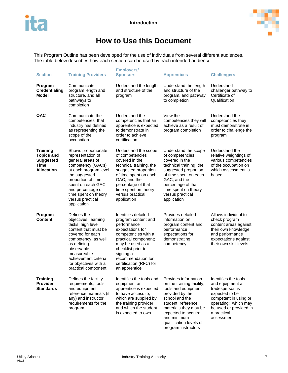

### **How to Use this Document**

This Program Outline has been developed for the use of individuals from several different audiences. The table below describes how each section can be used by each intended audience.

| <b>Section</b>                                                                               | <b>Training Providers</b>                                                                                                                                                                                                                                | <b>Employers/</b><br><b>Sponsors</b>                                                                                                                                                                                                                  | <b>Apprentices</b>                                                                                                                                                                                                                                    | <b>Challengers</b>                                                                                                                                                                   |
|----------------------------------------------------------------------------------------------|----------------------------------------------------------------------------------------------------------------------------------------------------------------------------------------------------------------------------------------------------------|-------------------------------------------------------------------------------------------------------------------------------------------------------------------------------------------------------------------------------------------------------|-------------------------------------------------------------------------------------------------------------------------------------------------------------------------------------------------------------------------------------------------------|--------------------------------------------------------------------------------------------------------------------------------------------------------------------------------------|
| Program<br><b>Credentialing</b><br>Model                                                     | Communicate<br>program length and<br>structure, and all<br>pathways to<br>completion                                                                                                                                                                     | Understand the length<br>and structure of the<br>program                                                                                                                                                                                              | Understand the length<br>and structure of the<br>program, and pathway<br>to completion                                                                                                                                                                | Understand<br>challenger pathway to<br>Certificate of<br>Qualification                                                                                                               |
| <b>OAC</b>                                                                                   | Communicate the<br>competencies that<br>industry has defined<br>as representing the<br>scope of the<br>occupation                                                                                                                                        | Understand the<br>competencies that an<br>apprentice is expected<br>to demonstrate in<br>order to achieve<br>certification                                                                                                                            | View the<br>competencies they will<br>achieve as a result of<br>program completion                                                                                                                                                                    | Understand the<br>competencies they<br>must demonstrate in<br>order to challenge the<br>program                                                                                      |
| <b>Training</b><br><b>Topics and</b><br><b>Suggested</b><br><b>Time</b><br><b>Allocation</b> | Shows proportionate<br>representation of<br>general areas of<br>competency (GACs)<br>at each program level,<br>the suggested<br>proportion of time<br>spent on each GAC,<br>and percentage of<br>time spent on theory<br>versus practical<br>application | Understand the scope<br>of competencies<br>covered in the<br>technical training, the<br>suggested proportion<br>of time spent on each<br>GAC, and the<br>percentage of that<br>time spent on theory<br>versus practical<br>application                | Understand the scope<br>of competencies<br>covered in the<br>technical training, the<br>suggested proportion<br>of time spent on each<br>GAC, and the<br>percentage of that<br>time spent on theory<br>versus practical<br>application                | Understand the<br>relative weightings of<br>various competencies<br>of the occupation on<br>which assessment is<br>based                                                             |
| Program<br><b>Content</b>                                                                    | Defines the<br>objectives, learning<br>tasks, high level<br>content that must be<br>covered for each<br>competency, as well<br>as defining<br>observable,<br>measureable<br>achievement criteria<br>for objectives with a<br>practical component         | Identifies detailed<br>program content and<br>performance<br>expectations for<br>competencies with a<br>practical component;<br>may be used as a<br>checklist prior to<br>signing a<br>recommendation for<br>certification (RFC) for<br>an apprentice | Provides detailed<br>information on<br>program content and<br>performance<br>expectations for<br>demonstrating<br>competency                                                                                                                          | Allows individual to<br>check program<br>content areas against<br>their own knowledge<br>and performance<br>expectations against<br>their own skill levels                           |
| <b>Training</b><br>Provider<br><b>Standards</b>                                              | Defines the facility<br>requirements, tools<br>and equipment,<br>reference materials (if<br>any) and instructor<br>requirements for the<br>program                                                                                                       | Identifies the tools and<br>equipment an<br>apprentice is expected<br>to have access to;<br>which are supplied by<br>the training provider<br>and which the student<br>is expected to own                                                             | Provides information<br>on the training facility,<br>tools and equipment<br>provided by the<br>school and the<br>student, reference<br>materials they may be<br>expected to acquire,<br>and minimum<br>qualification levels of<br>program instructors | Identifies the tools<br>and equipment a<br>tradesperson is<br>expected to be<br>competent in using or<br>operating; which may<br>be used or provided in<br>a practical<br>assessment |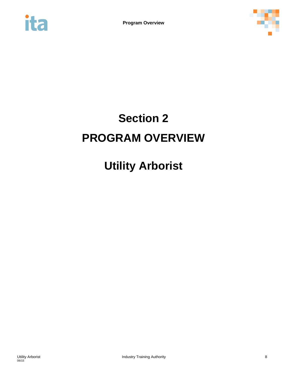



# **Section 2 PROGRAM OVERVIEW**

# **Utility Arborist**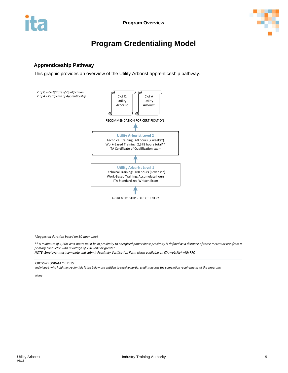

### **Program Credentialing Model**

#### **Apprenticeship Pathway**

This graphic provides an overview of the Utility Arborist apprenticeship pathway.



*\*Suggested duration based on 30‐hour week*

\*\* A minimum of 1,200 WBT hours must be in proximity to energized power lines; proximity is defined as a distance of three metres or less from a *primary conductor with a voltage of 750 volts or greater NOTE: Employer must complete and submit Proximity Verification Form (form available on ITA website) with RFC*

CROSS‐PROGRAM CREDITS

Individuals who hold the credentials listed below are entitled to receive partial credit towards the completion requirements of this program:

*None*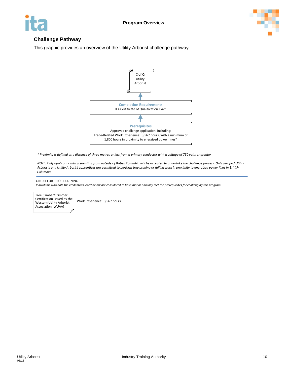



#### **Challenge Pathway**

This graphic provides an overview of the Utility Arborist challenge pathway.



\* Proximity is defined as a distance of three metres or less from a primary conductor with a voltage of 750 volts or greater

NOTE: Only applicants with credentials from outside of British Columbia will be accepted to undertake the challenge process. Only certified Utility Arborists and Utility Arborist apprentices are permitted to perform tree pruning or falling work in proximity to energized power lines in British *Columbia.*

#### CREDIT FOR PRIOR LEARNING

Individuals who hold the credentials listed below are considered to have met or partially met the prerequisites for challenging this program

Tree Climber/Trimmer Certification issued by the Western Utility Arborist Association (WUAA)

Work Experience: 3,567 hours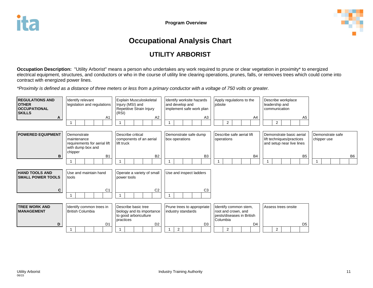

# **Occupational Analysis Chart**

### **UTILITY ARBORIST**

**Occupation Description:** "Utility Arborist" means a person who undertakes any work required to prune or clear vegetation in proximity\* to energized electrical equipment, structures, and conductors or who in the course of utility line clearing operations, prunes, falls, or removes trees which could come into contract with energized power lines.

*\*Proximity is defined as a distance of three meters or less from a primary conductor with a voltage of 750 volts or greater.* 

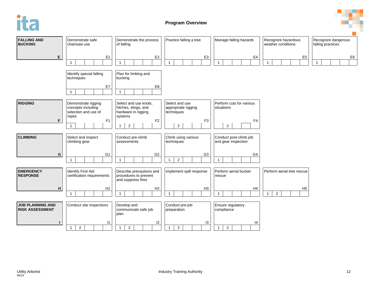



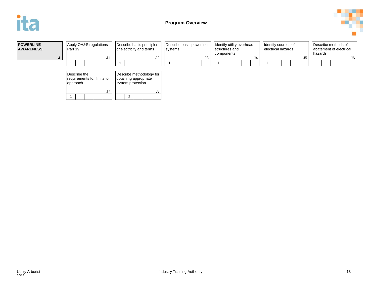



| <b>POWERLINE</b><br><b>LAWARENESS</b> | Apply OH&S regulations<br>Part 19<br>J1      | Describe basic principles<br>of electricity and terms<br>J2 | Describe basic powerline<br>systems<br>J3 | Identify utility overhead<br>structures and<br>components<br>J4 | Identify sources of<br>electrical hazards<br>J5 | Describe methods of<br>abatement of electrical<br>hazards<br>J6 |
|---------------------------------------|----------------------------------------------|-------------------------------------------------------------|-------------------------------------------|-----------------------------------------------------------------|-------------------------------------------------|-----------------------------------------------------------------|
|                                       | Describe the                                 | Describe methodology for                                    |                                           |                                                                 |                                                 |                                                                 |
|                                       | requirements for limits to<br>approach<br>J7 | obtaining appropriate<br>system protection<br>J8            |                                           |                                                                 |                                                 |                                                                 |
|                                       |                                              |                                                             |                                           |                                                                 |                                                 |                                                                 |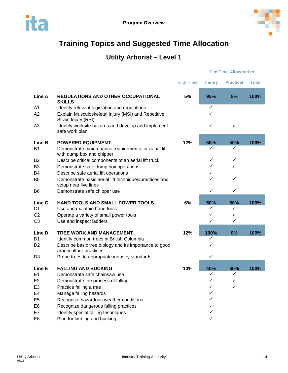



# **Training Topics and Suggested Time Allocation**

### **Utility Arborist – Level 1**

#### **% of Time Allocated to:**

|                                  |                                                                                   | % of Time | <b>Theory</b>     | <b>Practical</b>  | <b>Total</b> |
|----------------------------------|-----------------------------------------------------------------------------------|-----------|-------------------|-------------------|--------------|
| Line A                           | <b>REGULATIONS AND OTHER OCCUPATIONAL</b><br><b>SKILLS</b>                        | 5%        | 95%               | 5%                | 100%         |
| A <sub>1</sub>                   | Identify relevant legislation and regulations                                     |           | ✓                 |                   |              |
| A <sub>2</sub>                   | Explain Musculoskeletal Injury (MSI) and Repetitive<br>Strain Injury (RSI)        |           | ✓                 |                   |              |
| A3                               | Identify worksite hazards and develop and implement<br>safe work plan             |           | ✓                 | $\checkmark$      |              |
| <b>Line B</b>                    | <b>POWERED EQUIPMENT</b>                                                          | 12%       | 50%               | 50%               | 100%         |
| <b>B1</b>                        | Demonstrate maintenance requirements for aerial lift<br>with dump box and chipper |           | ✓                 | ✓                 |              |
| <b>B2</b>                        | Describe critical components of an aerial lift truck                              |           | ✓                 | ✓                 |              |
| B <sub>3</sub>                   | Demonstrate safe dump box operations                                              |           | ✓                 | ✓                 |              |
| B4                               | Describe safe aerial lift operations                                              |           | ✓                 |                   |              |
| <b>B5</b>                        | Demonstrate basic aerial lift techniques/practices and<br>setup near live lines   |           | ✓                 | ✓                 |              |
| B <sub>6</sub>                   | Demonstrate safe chipper use                                                      |           | $\checkmark$      | ✓                 |              |
| Line C                           | HAND TOOLS AND SMALL POWER TOOLS                                                  | 6%        | 50%               | 50%               | 100%         |
| C <sub>1</sub><br>C <sub>2</sub> | Use and maintain hand tools                                                       |           | $\checkmark$<br>✓ | ✓<br>$\checkmark$ |              |
| C <sub>3</sub>                   | Operate a variety of small power tools<br>Use and inspect ladders                 |           | ✓                 | $\checkmark$      |              |
|                                  |                                                                                   |           |                   |                   |              |
| Line D                           | <b>TREE WORK AND MANAGEMENT</b>                                                   | 12%       | 100%              | 0%                | 100%         |
| D <sub>1</sub>                   | Identify common trees in British Columbia                                         |           | ✓                 |                   |              |
| D <sub>2</sub>                   | Describe basic tree biology and its importance to good<br>arboriculture practices |           | ✓                 |                   |              |
| D <sub>3</sub>                   | Prune trees to appropriate industry standards                                     |           | ✓                 |                   |              |
| Line E                           | <b>FALLING AND BUCKING</b>                                                        | 10%       | 40%               | 60%               | 100%         |
| E1                               | Demonstrate safe chainsaw use                                                     |           | ✓                 | $\checkmark$      |              |
| E2                               | Demonstrate the process of falling                                                |           | ✓                 | $\checkmark$      |              |
| E3                               | Practice falling a tree                                                           |           | ✓                 | $\checkmark$      |              |
| E4                               | Manage falling hazards                                                            |           | ✓                 |                   |              |
| E <sub>5</sub>                   | Recognize hazardous weather conditions                                            |           | ✓                 |                   |              |
| E <sub>6</sub>                   | Recognize dangerous falling practices                                             |           | ✓                 |                   |              |
| E7                               | Identify special falling techniques                                               |           | ✓                 |                   |              |
| E <sub>8</sub>                   | Plan for limbing and bucking                                                      |           | ✓                 |                   |              |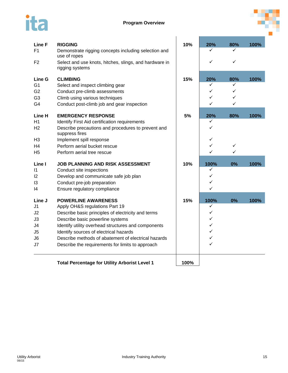# ita



| Line F         | <b>RIGGING</b>                                                            | 10%  | 20%          | 80%          | 100% |
|----------------|---------------------------------------------------------------------------|------|--------------|--------------|------|
| F1             | Demonstrate rigging concepts including selection and<br>use of ropes      |      | ✓            | ✓            |      |
| F <sub>2</sub> | Select and use knots, hitches, slings, and hardware in<br>rigging systems |      | ✓            | ✓            |      |
| Line G         | <b>CLIMBING</b>                                                           | 15%  | 20%          | 80%          | 100% |
| G <sub>1</sub> | Select and inspect climbing gear                                          |      | ✓            | ✓            |      |
| G <sub>2</sub> | Conduct pre-climb assessments                                             |      | $\checkmark$ | ✓            |      |
| G <sub>3</sub> | Climb using various techniques                                            |      | ✓            | ✓            |      |
| G4             | Conduct post-climb job and gear inspection                                |      | ✓            | ✓            |      |
| Line H         | <b>EMERGENCY RESPONSE</b>                                                 | 5%   | 20%          | 80%          | 100% |
| H1             | Identify First Aid certification requirements                             |      | $\checkmark$ |              |      |
| H <sub>2</sub> | Describe precautions and procedures to prevent and<br>suppress fires      |      | $\checkmark$ |              |      |
| H <sub>3</sub> | Implement spill response                                                  |      | ✓            |              |      |
| H4             | Perform aerial bucket rescue                                              |      | $\checkmark$ | $\checkmark$ |      |
| H <sub>5</sub> | Perform aerial tree rescue                                                |      | $\checkmark$ | $\checkmark$ |      |
| Line I         | JOB PLANNING AND RISK ASSESSMENT                                          | 10%  | 100%         | 0%           | 100% |
| $\vert$ 1      | Conduct site inspections                                                  |      | ✓            |              |      |
| 12             | Develop and communicate safe job plan                                     |      | $\checkmark$ |              |      |
| 13             | Conduct pre-job preparation                                               |      | ✓            |              |      |
| 4              | Ensure regulatory compliance                                              |      | $\checkmark$ |              |      |
| Line J         | <b>POWERLINE AWARENESS</b>                                                | 15%  | 100%         | 0%           | 100% |
| J <sub>1</sub> | Apply OH&S regulations Part 19                                            |      | ✓            |              |      |
| J2             | Describe basic principles of electricity and terms                        |      | $\checkmark$ |              |      |
| J3             | Describe basic powerline systems                                          |      | ✓            |              |      |
| J4             | Identify utility overhead structures and components                       |      | $\checkmark$ |              |      |
| J <sub>5</sub> | Identify sources of electrical hazards                                    |      | ✓            |              |      |
| J <sub>6</sub> | Describe methods of abatement of electrical hazards                       |      | ✓            |              |      |
| J7             | Describe the requirements for limits to approach                          |      | $\checkmark$ |              |      |
|                | <b>Total Percentage for Utility Arborist Level 1</b>                      | 100% |              |              |      |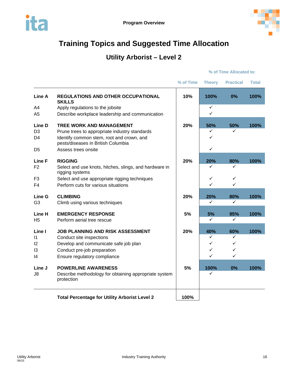



# **Training Topics and Suggested Time Allocation**

### **Utility Arborist – Level 2**

#### **% of Time Allocated to:**

|                |                                                                                 | % of Time | <b>Theory</b> | <b>Practical</b> | <b>Total</b> |
|----------------|---------------------------------------------------------------------------------|-----------|---------------|------------------|--------------|
| <b>Line A</b>  | <b>REGULATIONS AND OTHER OCCUPATIONAL</b><br><b>SKILLS</b>                      | 10%       | 100%          | 0%               | 100%         |
| A4             | Apply regulations to the jobsite                                                |           | ✓             |                  |              |
| A <sub>5</sub> | Describe workplace leadership and communication                                 |           | ✓             |                  |              |
| <b>Line D</b>  | <b>TREE WORK AND MANAGEMENT</b>                                                 | 20%       | 50%           | 50%              | 100%         |
| D <sub>3</sub> | Prune trees to appropriate industry standards                                   |           | ✓             | ✓                |              |
| D4             | Identify common stem, root and crown, and<br>pests/diseases in British Columbia |           | ✓             |                  |              |
| D <sub>5</sub> | Assess trees onsite                                                             |           | ✓             |                  |              |
| <b>Line F</b>  | <b>RIGGING</b>                                                                  | 20%       | 20%           | 80%              | 100%         |
| F <sub>2</sub> | Select and use knots, hitches, slings, and hardware in<br>rigging systems       |           | ✓             | ✓                |              |
| F <sub>3</sub> | Select and use appropriate rigging techniques                                   |           | ✓             | ✓                |              |
| F <sub>4</sub> | Perform cuts for various situations                                             |           | ✓             | ✓                |              |
| Line G         | <b>CLIMBING</b>                                                                 | 20%       | 20%           | 80%              | 100%         |
| G <sub>3</sub> | Climb using various techniques                                                  |           | $\checkmark$  | $\checkmark$     |              |
| Line H         | <b>EMERGENCY RESPONSE</b>                                                       | 5%        | 5%            | 95%              | 100%         |
| H <sub>5</sub> | Perform aerial tree rescue                                                      |           | ✓             | ✓                |              |
| Line I         | JOB PLANNING AND RISK ASSESSMENT                                                | 20%       | 40%           | 60%              | 100%         |
| $\vert$ 1      | Conduct site inspections                                                        |           | ✓             | ✓                |              |
| 12             | Develop and communicate safe job plan                                           |           | ✓             | ✓                |              |
| 13             | Conduct pre-job preparation                                                     |           | ✓             | ✓                |              |
| 14             | Ensure regulatory compliance                                                    |           | ✓             | ✓                |              |
| Line J         | <b>POWERLINE AWARENESS</b>                                                      | 5%        | 100%          | 0%               | 100%         |
| J8             | Describe methodology for obtaining appropriate system<br>protection             |           | ✓             |                  |              |
|                | <b>Total Percentage for Utility Arborist Level 2</b>                            | 100%      |               |                  |              |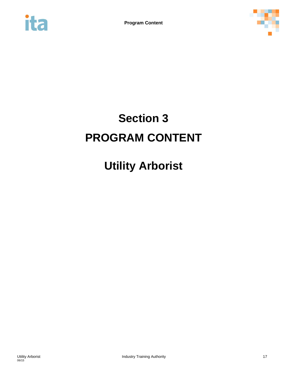



# **Section 3 PROGRAM CONTENT**

# **Utility Arborist**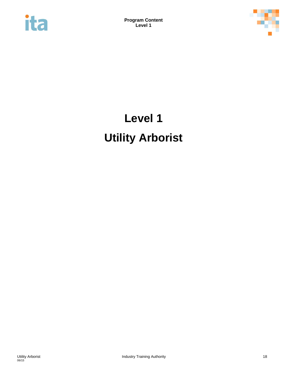



# **Level 1 Utility Arborist**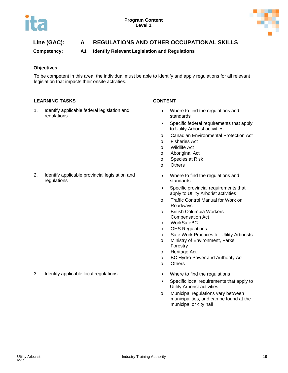

### **Line (GAC): A REGULATIONS AND OTHER OCCUPATIONAL SKILLS**

**Competency: A1 Identify Relevant Legislation and Regulations** 

#### **Objectives**

To be competent in this area, the individual must be able to identify and apply regulations for all relevant legislation that impacts their onsite activities.

#### **LEARNING TASKS CONTENT**

1. Identify applicable federal legislation and regulations

#### 2. Identify applicable provincial legislation and regulations

3. Identify applicable local regulations Where to find the regulations

- Where to find the regulations and standards
- Specific federal requirements that apply to Utility Arborist activities
- o Canadian Environmental Protection Act
- o Fisheries Act
- o Wildlife Act
- o Aboriginal Act
- o Species at Risk
- o Others
- Where to find the regulations and standards
- Specific provincial requirements that apply to Utility Arborist activities
- o Traffic Control Manual for Work on Roadways
- o British Columbia Workers Compensation Act
- o WorkSafeBC
- o OHS Regulations
- o Safe Work Practices for Utility Arborists
- o Ministry of Environment, Parks, Forestry
- o Heritage Act
- o BC Hydro Power and Authority Act
- o Others
- 
- Specific local requirements that apply to Utility Arborist activities
- o Municipal regulations vary between municipalities, and can be found at the municipal or city hall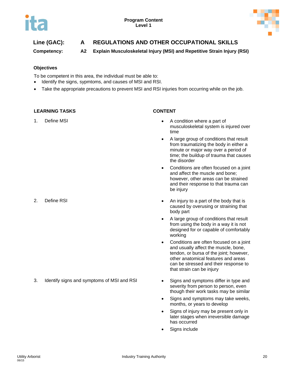

### **Line (GAC): A REGULATIONS AND OTHER OCCUPATIONAL SKILLS**

**Competency: A2 Explain Musculoskeletal Injury (MSI) and Repetitive Strain Injury (RSI)** 

#### **Objectives**

To be competent in this area, the individual must be able to:

- Identify the signs, sypmtoms, and causes of MSI and RSI.
- Take the appropriate precautions to prevent MSI and RSI injuries from occurring while on the job.

#### **LEARNING TASKS CONTENT**

- 1. Define MSI **A** condition where a part of musculoskeletal system is injured over time
	- A large group of conditions that result from traumatizing the body in either a minute or major way over a period of time; the buildup of trauma that causes the disorder
	- Conditions are often focused on a joint and affect the muscle and bone; however, other areas can be strained and their response to that trauma can be injury
- 2. Define RSI 2. Define RSI 2. Define RSI caused by overusing or straining that body part
	- A large group of conditions that result from using the body in a way it is not designed for or capable of comfortably working
	- Conditions are often focused on a joint and usually affect the muscle, bone, tendon, or bursa of the joint; however, other anatomical features and areas can be stressed and their response to that strain can be injury
	- severity from person to person, even though their work tasks may be similar
	- Signs and symptoms may take weeks, months, or years to develop
	- Signs of injury may be present only in later stages when irreversible damage has occurred
	- Signs include

3. Identify signs and symptoms of MSI and RSI **Signs and symptoms differ in type and**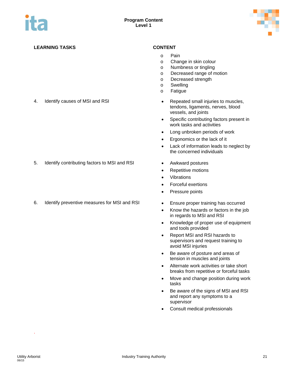

#### **LEARNING TASKS CONTENT**

6. Identify preventive measures for MSI and RSI **•** Ensure proper training has occurred

- o Pain
- o Change in skin colour
- o Numbness or tingling
- o Decreased range of motion
- o Decreased strength
- o Swelling
- o Fatigue
- 4. Identify causes of MSI and RSI **All intervalses Repeated small injuries to muscles,** tendons, ligaments, nerves, blood vessels, and joints
	- Specific contributing factors present in work tasks and activities
	- Long unbroken periods of work
	- Ergonomics or the lack of it
	- Lack of information leads to neglect by the concerned individuals
- 5. Identify contributing factors to MSI and RSI Awkward postures
	- Repetitive motions
	- Vibrations
	- Forceful exertions
	- Pressure points
	-
	- Know the hazards or factors in the job in regards to MSI and RSI
	- Knowledge of proper use of equipment and tools provided
	- Report MSI and RSI hazards to supervisors and request training to avoid MSI injuries
	- Be aware of posture and areas of tension in muscles and joints
	- Alternate work activities or take short breaks from repetitive or forceful tasks
	- Move and change position during work tasks
	- Be aware of the signs of MSI and RSI and report any symptoms to a supervisor
	- Consult medical professionals

.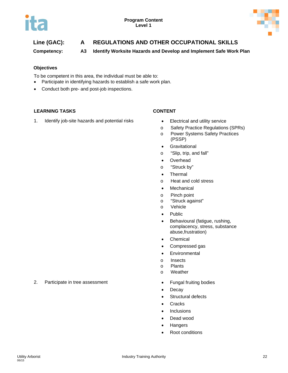

### **Line (GAC): A REGULATIONS AND OTHER OCCUPATIONAL SKILLS**

**Competency: A3 Identify Worksite Hazards and Develop and Implement Safe Work Plan** 

#### **Objectives**

To be competent in this area, the individual must be able to:

- Participate in identifying hazards to establish a safe work plan.
- Conduct both pre- and post-job inspections.

#### **LEARNING TASKS CONTENT**

1. Identify job-site hazards and potential risks **Electrical and utility service** 

- 
- o Safety Practice Regulations (SPRs)
- o Power Systems Safety Practices (PSSP)
- Gravitational
- o "Slip, trip, and fall"
- Overhead
- o "Struck by"
- Thermal
- o Heat and cold stress
- Mechanical
- o Pinch point
- o "Struck against"
- o Vehicle
- Public
- Behavioural (fatigue, rushing, complacency, stress, substance abuse,frustration)
- Chemical
- Compressed gas
- **•** Environmental
- o Insects
- o Plants
- o Weather
- 
- Decay
- Structural defects
- **Cracks**
- Inclusions
- Dead wood
- **Hangers**
- Root conditions

#### 2. Participate in tree assessment **Example 2.** Participate in tree assessment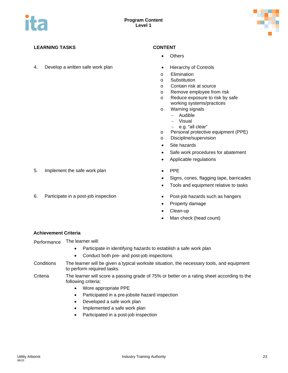

#### **LEARNING TASKS CONTENT**

4. Develop a written safe work plan **Access 2008** Hierarchy of Controls

- **Others**
- 
- o Elimination
- o Substitution
- o Contain risk at source
- o Remove employee from risk
- o Reduce exposure to risk by safe working systems/practices
- o Warning signals
	- Audible
	- Visual
	- e.g. "all clear"
- o Personal protective equipment (PPE)
- o Discipline/supervision
- Site hazards
- Safe work procedures for abatement
- Applicable regulations
- 5. Implement the safe work plan **EXACTE CONTENT CONTENT PPE** 
	- Signs, cones, flagging tape, barricades
	- Tools and equipment relative to tasks
	-
	- Property damage
	- Clean-up
	- Man check (head count)

#### **Achievement Criteria**

Performance The learner will:

- Participate in identifying hazards to establish a safe work plan
- Conduct both pre- and post-job inspections
- Conditions The learner will be given a typical worksite situation, the necessary tools, and equipment to perform required tasks.

#### Criteria The learner will score a passing grade of 75% or better on a rating sheet according to the following criteria:

- Wore appropriate PPE
- Participated in a pre-jobsite hazard inspection
- Developed a safe work plan
- Implemented a safe work plan
- Participated in a post-job inspection

6. Participate in a post-job inspection **Conservation Conservation Post-job hazards such as hangers**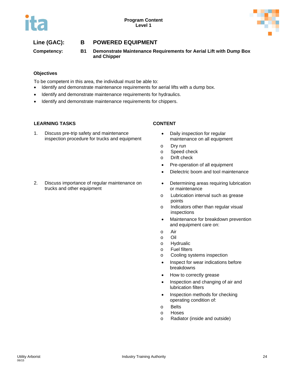

#### **Line (GAC): B POWERED EQUIPMENT**

**Competency: B1 Demonstrate Maintenance Requirements for Aerial Lift with Dump Box and Chipper** 

#### **Objectives**

To be competent in this area, the individual must be able to:

- Identify and demonstrate maintenance requirements for aerial lifts with a dump box.
- Identify and demonstrate maintenance requirements for hydraulics.
- Identify and demonstrate maintenance requirements for chippers.

#### **LEARNING TASKS CONTENT**

1. Discuss pre-trip safety and maintenance inspection procedure for trucks and equipment

#### 2. Discuss importance of regular maintenance on trucks and other equipment

- Daily inspection for regular maintenance on all equipment
- o Dry run
- o Speed check
- o Drift check
- Pre-operation of all equipment
- Dielectric boom and tool maintenance
- Determining areas requiring lubrication or maintenance
- o Lubrication interval such as grease points
- o Indicators other than regular visual inspections
- Maintenance for breakdown prevention and equipment care on:
- o Air
- o Oil
- o Hydrualic
- o Fuel filters
- o Cooling systems inspection
- Inspect for wear indications before breakdowns
- How to correctly grease
- Inspection and changing of air and lubrication filters
- Inspection methods for checking operating condition of:
- o Belts
- o Hoses
- o Radiator (inside and outside)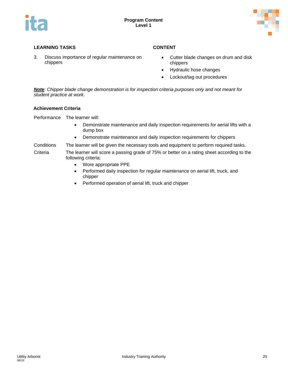



#### **LEARNING TASKS CONTENT**

3. Discuss importance of regular maintenance on chippers

- Cutter blade changes on drum and disk chippers
- Hydraulic hose changes
- Lockout/tag out procedures

*Note: Chipper blade change demonstration is for inspection criteria purposes only and not meant for student practice at work.* 

#### **Achievement Criteria**

Performance The learner will:

- Demonstrate maintenance and daily inspection requirements for aerial lifts with a dump box
- Demonstrate maintenance and daily inspection requirements for chippers

Conditions The learner will be given the necessary tools and equipment to perform required tasks.

Criteria The learner will score a passing grade of 75% or better on a rating sheet according to the following criteria:

- Wore appropriate PPE
- Performed daily inspection for regular maintenance on aerial lift, truck, and chipper
- Performed operation of aerial lift, truck and chipper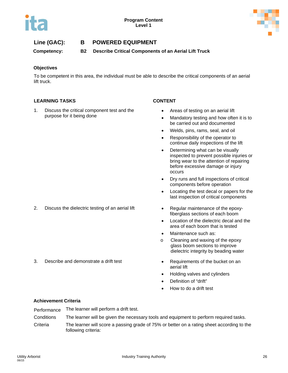

#### **Line (GAC): B POWERED EQUIPMENT**

**Competency: B2 Describe Critical Components of an Aerial Lift Truck** 

#### **Objectives**

To be competent in this area, the individual must be able to describe the critical components of an aerial lift truck.

#### **LEARNING TASKS CONTENT**

1. Discuss the critical component test and the purpose for it being done

- Areas of testing on an aerial lift
- Mandatory testing and how often it is to be carried out and documented
- Welds, pins, rams, seal, and oil
- Responsibility of the operator to continue daily inspections of the lift
- Determining what can be visually inspected to prevent possible injuries or bring wear to the attention of repairing before excessive damage or injury occurs
- Dry runs and full inspections of critical components before operation
- Locating the test decal or papers for the last inspection of critical components
- 2. Discuss the dielectric testing of an aerial lift **Regular maintenance of the epoxy**fiberglass sections of each boom
	- Location of the dielectric decal and the area of each boom that is tested
	- Maintenance such as:
	- o Cleaning and waxing of the epoxy glass boom sections to improve dielectric integrity by beading water
- 3. Describe and demonstrate a drift test **COV** Requirements of the bucket on an aerial lift
	- Holding valves and cylinders
	- Definition of "drift"
	- How to do a drift test

#### **Achievement Criteria**

| Performance | The learner will perform a drift test.                                                                            |
|-------------|-------------------------------------------------------------------------------------------------------------------|
| Conditions  | The learner will be given the necessary tools and equipment to perform required tasks.                            |
| Criteria    | The learner will score a passing grade of 75% or better on a rating sheet according to the<br>following criteria: |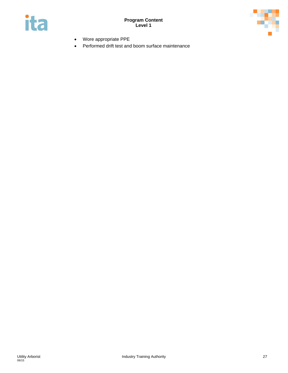



- Wore appropriate PPE
- Performed drift test and boom surface maintenance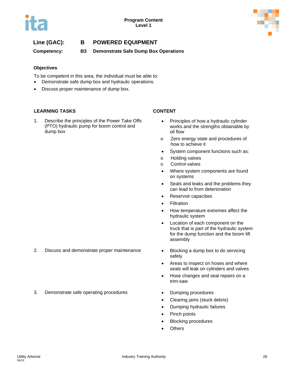

#### **Line (GAC): B POWERED EQUIPMENT**

**Competency: B3 Demonstrate Safe Dump Box Operations** 

#### **Objectives**

To be competent in this area, the individual must be able to:

- Demonstrate safe dump box and hydraulic operations.
- Discuss proper maintenance of dump box.

#### **LEARNING TASKS CONTENT**

1. Describe the principles of the Power Take Offs (PTO) hydraulic pump for boom control and dump box

- Principles of how a hydraulic cylinder works and the strengths obtainable by oil flow
- o Zero energy state and procedures of how to achieve it
- System component functions such as:
- o Holding valves
- o Control valves
- Where system components are found on systems
- Seals and leaks and the problems they can lead to from deterioration
- Reservoir capacities
- Filtration
- How temperature extremes affect the hydraulic system
- Location of each component on the truck that is part of the hydraulic system for the dump function and the boom lift assembly
- safely
- Areas to inspect on hoses and where seals will leak on cylinders and valves
- Hose changes and seal repairs on a trim-saw
- 3. Demonstrate safe operating procedures **Dumping procedures Dumping procedures** 
	- Clearing jams (stuck debris)
	- Dumping hydraulic failures
	- Pinch points
	- Blocking procedures
	- **Others**

2. Discuss and demonstrate proper maintenance **and a servicing a dump box to do servicing**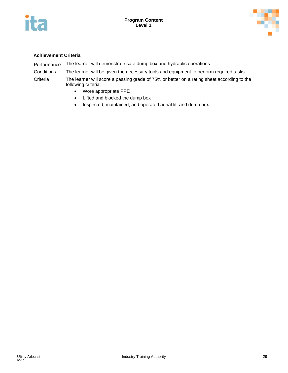



#### **Achievement Criteria**

Performance The learner will demonstrate safe dump box and hydraulic operations. Conditions The learner will be given the necessary tools and equipment to perform required tasks.

Criteria The learner will score a passing grade of 75% or better on a rating sheet according to the following criteria:

- Wore appropriate PPE
- Lifted and blocked the dump box
- Inspected, maintained, and operated aerial lift and dump box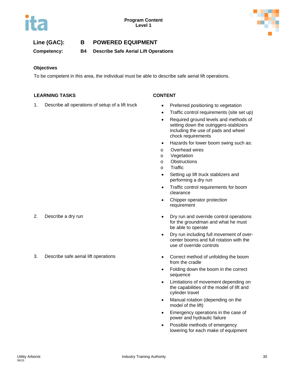



#### **Line (GAC): B POWERED EQUIPMENT**

**Competency: B4 Describe Safe Aerial Lift Operations** 

#### **Objectives**

To be competent in this area, the individual must be able to describe safe aerial lift operations.

#### **LEARNING TASKS CONTENT**

1. Describe all operations of setup of a lift truck **Development of the Preferred positioning to vegetation** 

- 
- Traffic control requirements (site set up)
- Required ground levels and methods of setting down the outriggers-stablizers including the use of pads and wheel chock requirements
- Hazards for lower boom swing such as:
- o Overhead wires
- o Vegetation
- o Obstructions
- o Traffic
- Setting up lift truck stablizers and performing a dry run
- Traffic control requirements for boom clearance
- Chipper operator protection requirement
- 2. Describe a dry run  $\bullet$  Dry run and override control operations for the groundman and what he must be able to operate
	- Dry run including full movement of overcenter booms and full rotation with the use of override controls
- 3. Describe safe aerial lift operations **Constanting the boom Correct method of unfolding the boom** from the cradle
	- Folding down the boom in the correct sequence
	- Limitations of movement depending on the capabilities of the model of lift and cylinder travel
	- Manual rotation (depending on the model of the lift)
	- Emergency operations in the case of power and hydraulic failure
	- Possible methods of emergency lowering for each make of equipment
- 
-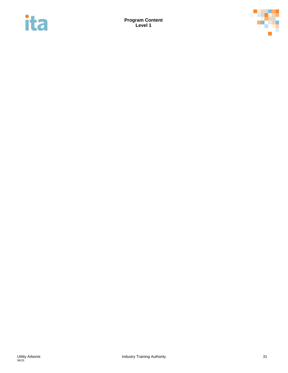

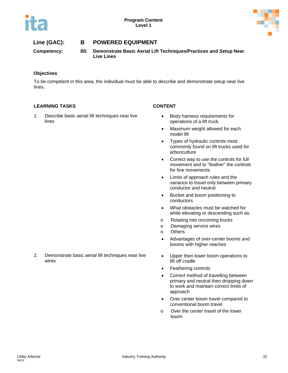

#### **Line (GAC): B POWERED EQUIPMENT**

**Competency: B5 Demonstrate Basic Aerial Lift Techniques/Practices and Setup Near Live Lines** 

#### **Objectives**

To be competent in this area, the individual must be able to describe and demonstrate setup near live lines.

#### **LEARNING TASKS CONTENT**

1. Describe basic aerial lift techniques near live lines

- Body harness requirements for operations of a lift truck
- Maximum weight allowed for each model lift
- Types of hydraulic controls most commonly found on lift trucks used for arboriculture
- Correct way to use the controls for full movement and to "feather" the controls for fine movements
- Limits of approach rules and the variance to travel only between primary conductor and neutral
- Bucket and boom positioning to conductors
- What obstacles must be watched for while elevating or descending such as:
- o Rotating into oncoming trucks
- o Damaging service wires
- o Others
- Advantages of over-center booms and booms with higher reaches
- Upper then lower boom operations to lift off cradle
- Feathering controls
- Correct method of travelling between primary and neutral then dropping down to work and maintain correct limits of approach
- Over center boom travel compared to conventional boom travel
- o Over the center travel of the lower boom

2. Demonstrate basic aerial lift techniques near live wires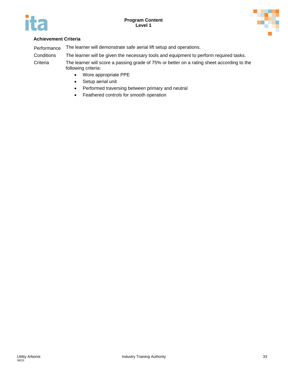



#### **Achievement Criteria**

Performance The learner will demonstrate safe aerial lift setup and operations.

Conditions The learner will be given the necessary tools and equipment to perform required tasks.

Criteria The learner will score a passing grade of 75% or better on a rating sheet according to the following criteria:

- Wore appropriate PPE
- Setup aerial unit
- Performed traversing between primary and neutral
- Feathered controls for smooth operation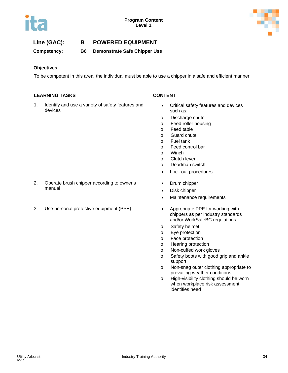



#### **Line (GAC): B POWERED EQUIPMENT**

**Competency: B6 Demonstrate Safe Chipper Use** 

#### **Objectives**

To be competent in this area, the individual must be able to use a chipper in a safe and efficient manner.

#### **LEARNING TASKS CONTENT**

1. Identify and use a variety of safety features and devices

- Critical safety features and devices such as:
- o Discharge chute
- o Feed roller housing
- o Feed table
- o Guard chute
- o Fuel tank
- o Feed control bar
- o Winch
- o Clutch lever
- o Deadman switch
- Lock out procedures
- Drum chipper
- Disk chipper
- Maintenance requirements
- chippers as per industry standards and/or WorkSafeBC regulations
- o Safety helmet
- o Eye protection
- o Face protection
- o Hearing protection
- o Non-cuffed work gloves
- o Safety boots with good grip and ankle support
- o Non-snag outer clothing appropriate to prevailing weather conditions
- o High-visibility clothing should be worn when workplace risk assessment identifies need

2. Operate brush chipper according to owner's manual

3. Use personal protective equipment (PPE) • Appropriate PPE for working with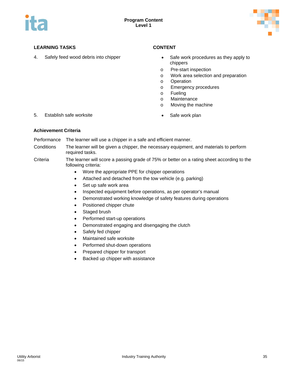

#### **LEARNING TASKS CONTENT**

- 4. Safely feed wood debris into chipper **Safe work procedures as they apply to** Safe work procedures as they apply to chippers
	- o Pre-start inspection
	- o Work area selection and preparation
	- o Operation
	- o Emergency procedures
	- o Fueling
	- o Maintenance
	- o Moving the machine
	-

5. Establish safe worksite **Safe work plan** 

#### **Achievement Criteria**

Performance The learner will use a chipper in a safe and efficient manner.

Conditions The learner will be given a chipper, the necessary equipment, and materials to perform required tasks.

Criteria The learner will score a passing grade of 75% or better on a rating sheet according to the following criteria:

- Wore the appropriate PPE for chipper operations
- Attached and detached from the tow vehicle (e.g. parking)
- Set up safe work area
- Inspected equipment before operations, as per operator's manual
- Demonstrated working knowledge of safety features during operations
- Positioned chipper chute
- Staged brush
- Performed start-up operations
- Demonstrated engaging and disengaging the clutch
- Safely fed chipper
- Maintained safe worksite
- Performed shut-down operations
- Prepared chipper for transport
- Backed up chipper with assistance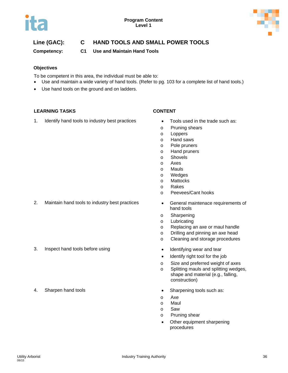

# **Line (GAC): C HAND TOOLS AND SMALL POWER TOOLS**

**Competency: C1 Use and Maintain Hand Tools** 

## **Objectives**

To be competent in this area, the individual must be able to:

- Use and maintain a wide variety of hand tools. (Refer to pg. 103 for a complete list of hand tools.)
- Use hand tools on the ground and on ladders.

## **LEARNING TASKS CONTENT**

1. Identify hand tools to industry best practices • Tools used in the trade such as:

- 
- o Pruning shears
- o Loppers
- o Hand saws
- o Pole pruners
- o Hand pruners
- o Shovels
- o Axes
- o Mauls
- o Wedges
- o Mattocks
- o Rakes
- o Peevees/Cant hooks
- hand tools
- o Sharpening
- o Lubricating
- o Replacing an axe or maul handle
- o Drilling and pinning an axe head
- o Cleaning and storage procedures
- 3. Inspect hand tools before using **ICE CONSOMED IDENTIFY IDENTIFYING** Use Identifying wear and tear
	- Identify right tool for the job
	- o Size and preferred weight of axes
	- o Splitting mauls and splitting wedges, shape and material (e.g., falling, construction)
- 4. Sharpen hand tools **Sharpening tools such as: Sharpening tools such as: Sharpening tools such as:** 
	- o Axe
	- o Maul
	- o Saw
	- o Pruning shear
	- Other equipment sharpening procedures

2. Maintain hand tools to industry best practices • General maintenace requirements of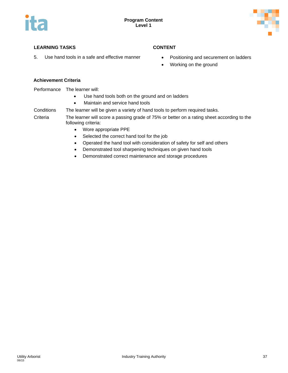



5. Use hand tools in a safe and effective manner • Positioning and securement on ladders

- 
- Working on the ground

## **Achievement Criteria**

Performance The learner will:

- Use hand tools both on the ground and on ladders
- Maintain and service hand tools

Conditions The learner will be given a variety of hand tools to perform required tasks.

Criteria The learner will score a passing grade of 75% or better on a rating sheet according to the following criteria:

- Wore appropriate PPE
- Selected the correct hand tool for the job
- Operated the hand tool with consideration of safety for self and others
- Demonstrated tool sharpening techniques on given hand tools
- Demonstrated correct maintenance and storage procedures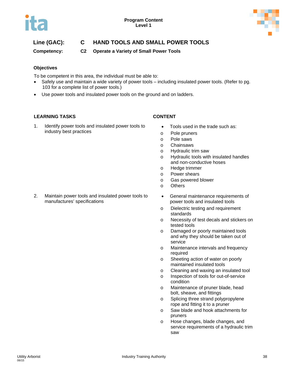

# **Line (GAC): C HAND TOOLS AND SMALL POWER TOOLS**

**Competency: C2 Operate a Variety of Small Power Tools** 

## **Objectives**

To be competent in this area, the individual must be able to:

- Safely use and maintain a wide variety of power tools including insulated power tools. (Refer to pg. 103 for a complete list of power tools.)
- Use power tools and insulated power tools on the ground and on ladders.

## **LEARNING TASKS CONTENT**

1. Identify power tools and insulated power tools to industry best practices

- Tools used in the trade such as:
- o Pole pruners
- o Pole saws
- o Chainsaws
- o Hydraulic trim saw
- o Hydraulic tools with insulated handles and non-conductive hoses
- o Hedge trimmer
- o Power shears
- o Gas powered blower
- o Others
- General maintenance requirements of power tools and insulated tools
- o Dielectric testing and requirement standards
- o Necessity of test decals and stickers on tested tools
- o Damaged or poorly maintained tools and why they should be taken out of service
- o Maintenance intervals and frequency required
- o Sheeting action of water on poorly maintained insulated tools
- o Cleaning and waxing an insulated tool
- o Inspection of tools for out-of-service condition
- o Maintenance of pruner blade, head bolt, sheave, and fittings
- o Splicing three strand polypropylene rope and fitting it to a pruner
- o Saw blade and hook attachments for pruners
- o Hose changes, blade changes, and service requirements of a hydraulic trim saw

2. Maintain power tools and insulated power tools to manufactures' specifications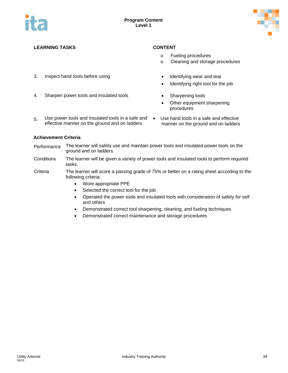

- 3. Inspect hand tools before using **ICE CONSOMED IDENTIFY IDENTIFYING** Use Identifying wear and tear
- 4. Sharpen power tools and insulated tools **Sharpening tools** Sharpening tools
- effective manner on the ground and on ladders

- o Fueling procedures
- o Cleaning and storage procedures
- 
- Identifying right tool for the job
- 
- Other equipment sharpening procedures
- $5.$  Use power tools and insulated tools in a safe and  $\bullet$
- Use hand tools in a safe and effective manner on the ground and on ladders

### **Achievement Criteria**

- Performance The learner will safely use and maintain power tools and insulated power tools on the ground and on ladders.
- Conditions The learner will be given a variety of power tools and insulated tools to perform required tasks.
- Criteria The learner will score a passing grade of 75% or better on a rating sheet according to the following criteria:
	- Wore appropriate PPE
	- Selected the correct tool for the job
	- Operated the power tools and insulated tools with consideration of safety for self and others
	- Demonstrated correct tool sharpening, cleaning, and fueling techniques
	- Demonstrated correct maintenance and storage procedures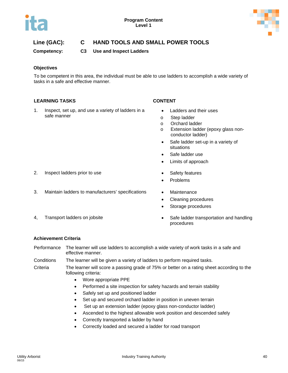

# **Line (GAC): C HAND TOOLS AND SMALL POWER TOOLS**

**Competency: C3 Use and Inspect Ladders** 

## **Objectives**

To be competent in this area, the individual must be able to use ladders to accomplish a wide variety of tasks in a safe and effective manner.

## **LEARNING TASKS CONTENT**

1. Inspect, set up, and use a variety of ladders in a safe manner

- Ladders and their uses
- o Step ladder
- o Orchard ladder
- o Extension ladder (epoxy glass nonconductor ladder)
- Safe ladder set-up in a variety of situations
- Safe ladder use
- Limits of approach
- 2. Inspect ladders prior to use **SAFET CONGLUITE SAFETY** features
	- Problems
- 3. Maintain ladders to manufacturers' specifications Maintenance
	- Cleaning procedures
	- Storage procedures
- 4, Transport ladders on jobsite Safe ladder transportation and handling procedures

### **Achievement Criteria**

- Performance The learner will use ladders to accomplish a wide variety of work tasks in a safe and effective manner.
- Conditions The learner will be given a variety of ladders to perform required tasks.
- Criteria The learner will score a passing grade of 75% or better on a rating sheet according to the following criteria:
	- Wore appropriate PPE
	- Performed a site inspection for safety hazards and terrain stability
	- Safely set up and positioned ladder
	- Set up and secured orchard ladder in position in uneven terrain
	- Set up an extension ladder (epoxy glass non-conductor ladder)
	- Ascended to the highest allowable work position and descended safely
	- Correctly transported a ladder by hand
	- Correctly loaded and secured a ladder for road transport

06/15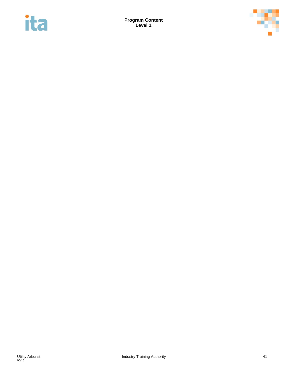

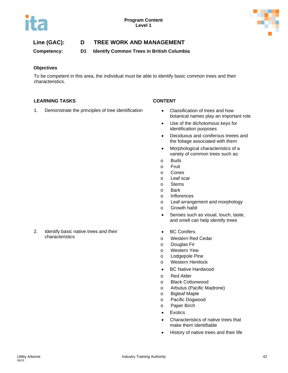

# **Line (GAC): D TREE WORK AND MANAGEMENT**

**Competency: D1 Identify Common Trees in British Columbia** 

## **Objectives**

To be competent in this area, the individual must be able to identify basic common trees and their characteristics.

## **LEARNING TASKS CONTENT**

1. Demonstrate the principles of tree identification **C** Classification of trees and how

- botanical names play an important role
- Use of the dichotomous keys for identification purposes
- Deciduous and coniferous treees and the foliage associated with them
- Morphological characteristics of a variety of common trees such as:
- o Buds
- o Fruit
- o Cones
- o Leaf scar
- o Stems
- o Bark
- o Inflorences
- o Leaf arrangement and morphology
- o Growth habit
- Senses such as visual, touch, taste, and smell can help identify trees
- BC Conifers
- o Western Red Cedar
- o Douglas Fir
- o Western Yew
- o Lodgepole Pine
- o Western Hemlock
- BC Native Hardwood
- o Red Alder
- o Black Cottonwood
- o Arbutus (Pacific Madrone)
- o Bigleaf Maple
- o Pacific Dogwood
- o Paper Birch
- Exotics
- Characteristics of native trees that make them identifiable
- History of native trees and their life

2. Identify basic native trees and their characteristics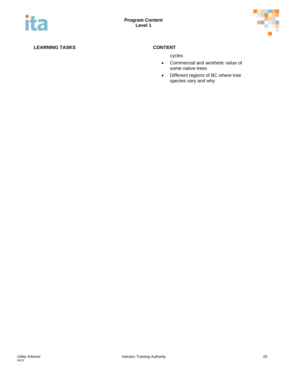

cycles

- Commercial and aesthetic value of some native trees
- Different regions of BC where tree species vary and why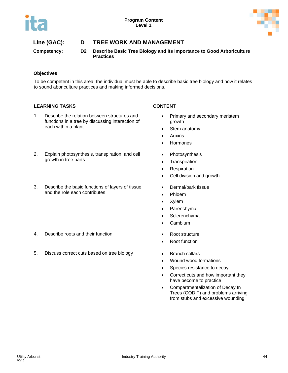

## **Line (GAC): D TREE WORK AND MANAGEMENT**

**Competency: D2 Describe Basic Tree Biology and Its Importance to Good Arboriculture Practices** 

## **Objectives**

To be competent in this area, the individual must be able to describe basic tree biology and how it relates to sound aboriculture practices and making informed decisions.

## **LEARNING TASKS CONTENT**

- 1. Describe the relation between structures and functions in a tree by discussing interaction of each within a plant
- 2. Explain photosynthesis, transpiration, and cell growth in tree parts
- 3. Describe the basic functions of layers of tissue and the role each contributes
- 4. Describe roots and their function **ACC Root structure**
- 5. Discuss correct cuts based on tree biology **Branch collars**

- Primary and secondary meristem growth
- Stem anatomy
- Auxins
- Hormones
- Photosynthesis
- **Transpiration**
- Respiration
- Cell division and growth
- Dermal/bark tissue
- Phloem
- Xylem
- Parenchyma
- **Sclerenchyma**
- Cambium
- 
- Root function
- 
- Wound wood formations
- Species resistance to decay
- Correct cuts and how important they have become to practice
- Compartmentalization of Decay In Trees (CODIT) and problems arriving from stubs and excessive wounding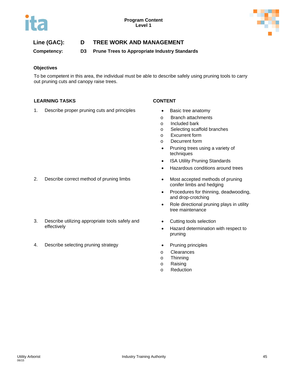

## **Line (GAC): D TREE WORK AND MANAGEMENT**

**Competency: D3 Prune Trees to Appropriate Industry Standards** 

### **Objectives**

To be competent in this area, the individual must be able to describe safely using pruning tools to carry out pruning cuts and canopy raise trees.

### **LEARNING TASKS CONTENT**

1. Describe proper pruning cuts and principles • Basic tree anatomy

- 
- o Branch attachments
- o Included bark
- o Selecting scaffold branches
- o Excurrent form
- o Decurrent form
- Pruning trees using a variety of techniques
- ISA Utility Pruning Standards
- Hazardous conditions around trees
- conifer limbs and hedging
- Procedures for thinning, deadwooding, and drop-crotching
- Role directional pruning plays in utility tree maintenance
- Cutting tools selection
- Hazard determination with respect to pruning
- 
- o Clearances
- o Thinning
- o Raising
- o Reduction
- 2. Describe correct method of pruning limbs **and the methods** of pruning imposed methods of pruning
- 3. Describe utilizing appropriate tools safely and effectively
- 4. Describe selecting pruning strategy **Conservative Conservation** Pruning principles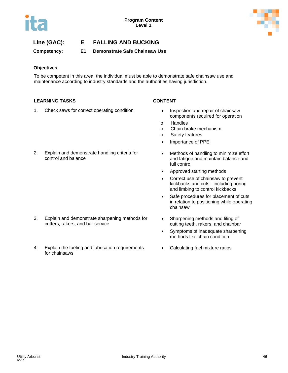

**Competency: E1 Demonstrate Safe Chainsaw Use** 

## **Objectives**

To be competent in this area, the individual must be able to demonstrate safe chainsaw use and maintenance according to industry standards and the authorities having jurisdiction.

## **LEARNING TASKS CONTENT**

1. Check saws for correct operating condition **Inspection and repair of chainsaw** 

### 2. Explain and demonstrate handling criteria for control and balance

- 3. Explain and demonstrate sharpening methods for cutters, rakers, and bar service
- 4. Explain the fueling and lubrication requirements for chainsaws

- components required for operation
- o Handles
- o Chain brake mechanism
- o Safety features
- Importance of PPE
- Methods of handling to minimize effort and fatigue and maintain balance and full control
- Approved starting methods
- Correct use of chainsaw to prevent kickbacks and cuts - including boring and limbing to control kickbacks
- Safe procedures for placement of cuts in relation to positioning while operating chainsaw
- Sharpening methods and filing of cutting teeth, rakers, and chainbar
- Symptoms of inadequate sharpening methods like chain condition
- Calculating fuel mixture ratios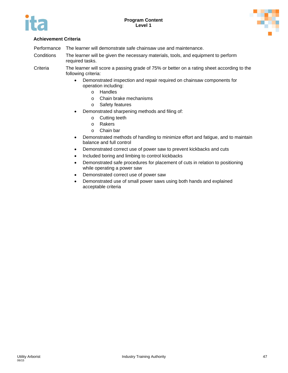



## **Achievement Criteria**

Performance The learner will demonstrate safe chainsaw use and maintenance.

- Conditions The learner will be given the necessary materials, tools, and equipment to perform required tasks.
- Criteria The learner will score a passing grade of 75% or better on a rating sheet according to the following criteria:
	- Demonstrated inspection and repair required on chainsaw components for operation including:
		- o Handles
		- o Chain brake mechanisms
		- o Safety features
	- Demonstrated sharpening methods and filing of:
		- o Cutting teeth
		- o Rakers
		- o Chain bar
	- Demonstrated methods of handling to minimize effort and fatigue, and to maintain balance and full control
	- Demonstrated correct use of power saw to prevent kickbacks and cuts
	- Included boring and limbing to control kickbacks
	- Demonstrated safe procedures for placement of cuts in relation to positioning while operating a power saw
	- Demonstrated correct use of power saw
	- Demonstrated use of small power saws using both hands and explained acceptable criteria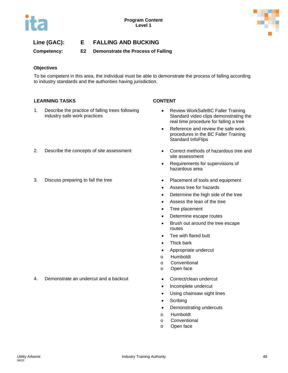

**Competency: E2 Demonstrate the Process of Falling** 

### **Objectives**

To be competent in this area, the individual must be able to demonstrate the process of falling according to industry standards and the authorities having jurisdiction.

### **LEARNING TASKS CONTENT**

1. Describe the practice of falling trees following industry safe work practices

- Review WorkSafeBC Faller Training Standard video clips demonstrating the real time procedure for falling a tree
- Reference and review the safe work procedures in the BC Faller Training Standard InfoFlips
- 2. Describe the concepts of site assessment **Correct methods of hazardous tree and** site assessment
	- Requirements for supervisions of hazardous area
- 3. Discuss preparing to fall the tree Placement of tools and equipment
	- Assess tree for hazards
	- Determine the high side of the tree
	- Assess the lean of the tree
	- Tree placement
	- Determine escape routes
	- Brush out around the tree escape routes
	- Tee with flared butt
	- Thick bark
	- Appropriate undercut
	- o Humboldt
	- o Conventional
	- o Open face
	-
	- Incomplete undercut
	- Using chainsaw sight lines
	- Scribing
	- Demonstrating undercuts
	- o Humboldt
	- o Conventional
	- o Open face

4. Demonstrate an undercut and a backcut **Conventional Conventional Convention** Correct/clean undercut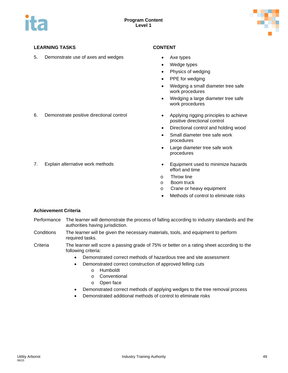

5. Demonstrate use of axes and wedges **Axe types Axe types** 

- 
- Wedge types
- Physics of wedging
- PPE for wedging
- Wedging a small diameter tree safe work procedures
- Wedging a large diameter tree safe work procedures
- 6. Demonstrate positive directional control **COV** Applying rigging principles to achieve positive directional control
	- Directional control and holding wood
	- Small diameter tree safe work procedures
	- Large diameter tree safe work procedures
- 7. Explain alternative work methods Equipment used to minimize hazards effort and time
	- o Throw line
	- o Boom truck
	- o Crane or heavy equipment
	- Methods of control to eliminate risks

### **Achievement Criteria**

- Performance The learner will demonstrate the process of falling according to industry standards and the authorities having jurisdiction.
- Conditions The learner will be given the necessary materials, tools, and equipment to perform required tasks.

Criteria The learner will score a passing grade of 75% or better on a rating sheet according to the following criteria:

- Demonstrated correct methods of hazardous tree and site assessment
- Demonstrated correct construction of approved felling cuts
	- o Humboldt
	- o Conventional
	- o Open face
- Demonstrated correct methods of applying wedges to the tree removal process
- Demonstrated additional methods of control to eliminate risks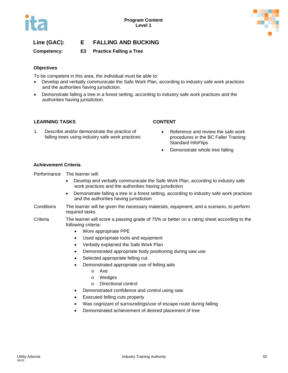



**Competency: E3 Practice Falling a Tree** 

## **Objectives**

To be competent in this area, the individual must be able to:

- Develop and verbally communicate the Safe Work Plan, according to industry safe work practices and the authorities having jurisdiction.
- Demonstrate falling a tree in a forest setting, according to industry safe work practices and the authorities having jurisdiction.

## **LEARNING TASKS CONTENT**

1. Describe and/or demonstrate the practice of falling trees using industry safe work practices

- Reference and review the safe work procedures in the BC Faller Training Standard InfoFlips
- Demonstrate whole tree falling

## **Achievement Criteria**

Performance The learner will:

- Develop and verbally communicate the Safe Work Plan, according to industry safe work practices and the authorities having jurisdiction
- Demonstrate falling a tree in a forest setting, according to industry safe work practices and the authorities having jurisdiction
- Conditions The learner will be given the necessary materials, equipment, and a scenario, to perform required tasks.
- Criteria The learner will score a passing grade of 75% or better on a rating sheet according to the following criteria:
	- Wore appropriate PPE
	- Used appropriate tools and equipment
	- Verbally explained the Safe Work Plan
	- Demonstrated appropriate body positioning during saw use
	- Selected appropriate felling cut
	- Demonstrated appropriate use of felling aids
		- o Axe
		- o Wedges
		- o Directional control
	- Demonstrated confidence and control using saw
	- Executed felling cuts properly
	- Was cognizant of surroundings/use of escape route during falling
	- Demonstrated achievement of desired placement of tree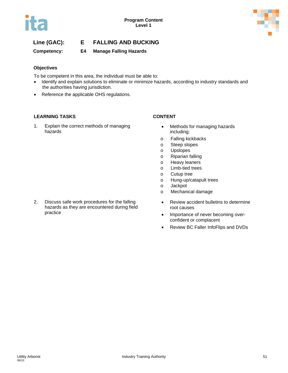



**Competency: E4 Manage Falling Hazards** 

## **Objectives**

To be competent in this area, the individual must be able to:

- Identify and explain solutions to eliminate or minimize hazards, according to industry standards and the authorities having jurisdiction.
- Reference the applicable OHS regulations.

## LEARNING TASKS CONTENT

1. Explain the correct methods of managing hazards

- Methods for managing hazards including:
- o Falling kickbacks
- o Steep slopes
- o Upslopes
- o Riparian falling
- o Heavy leaners
- o Limb-tied trees
- o Cutup tree
- o Hung-up/catapult trees
- o Jackpot
- o Mechanical damage
- Review accident bulletins to determine root causes
- Importance of never becoming overconfident or complacent
- Review BC Faller InfoFlips and DVDs

2. Discuss safe work procedures for the falling hazards as they are encountered during field practice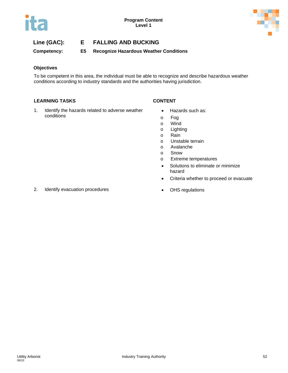

**Competency: E5 Recognize Hazardous Weather Conditions** 

### **Objectives**

To be competent in this area, the individual must be able to recognize and describe hazardous weather conditions according to industry standards and the authorities having jurisdiction.

### **LEARNING TASKS CONTENT**

1. Identify the hazards related to adverse weather conditions

- Hazards such as:
- o Fog
- o Wind
- o Lighting
- o Rain
- o Unstable terrain
- o Avalanche
- o Snow
- o Extreme temperatures
- Solutions to eliminate or minimize hazard
- Criteria whether to proceed or evacuate
- 
- 2. Identify evacuation procedures **COMP COMP COMP** OHS regulations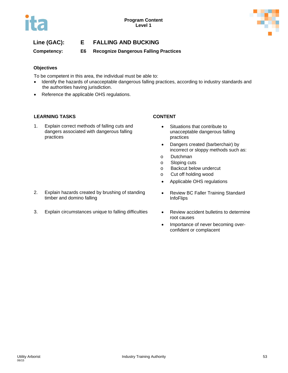



**Competency: E6 Recognize Dangerous Falling Practices** 

## **Objectives**

To be competent in this area, the individual must be able to:

- Identify the hazards of unacceptable dangerous falling practices, according to industry standards and the authorities having jurisdiction.
- Reference the applicable OHS regulations.

## LEARNING TASKS CONTENT

1. Explain correct methods of falling cuts and dangers associated with dangerous falling practices

- Situations that contribute to unacceptable dangerous falling practices
- Dangers created (barberchair) by incorrect or sloppy methods such as:
- o Dutchman
- o Sloping cuts
- o Backcut below undercut
- o Cut off holding wood
- Applicable OHS regulations
- Review BC Faller Training Standard **InfoFlips**
- root causes
- Importance of never becoming overconfident or complacent
- 2. Explain hazards created by brushing of standing timber and domino falling
- 3. Explain circumstances unique to falling difficulties Review accident bulletins to determine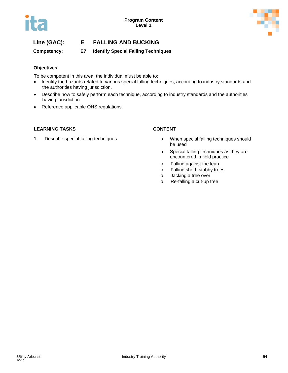



**Competency: E7 Identify Special Falling Techniques** 

## **Objectives**

To be competent in this area, the individual must be able to:

- Identify the hazards related to various special falling techniques, according to industry standards and the authorities having jurisdiction.
- Describe how to safely perform each technique, according to industry standards and the authorities having jurisdiction.
- Reference applicable OHS regulations.

### LEARNING TASKS CONTENT

- 1. Describe special falling techniques **State of the State of the When special falling techniques should** be used
	- Special falling techniques as they are encountered in field practice
	- o Falling against the lean
	- o Falling short, stubby trees
	- o Jacking a tree over
	- o Re-falling a cut-up tree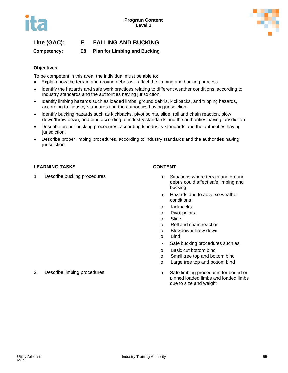



**Competency: E8 Plan for Limbing and Bucking** 

## **Objectives**

To be competent in this area, the individual must be able to:

- Explain how the terrain and ground debris will affect the limbing and bucking process.
- Identify the hazards and safe work practices relating to different weather conditions, according to industry standards and the authorities having jurisdiction.
- Identify limbing hazards such as loaded limbs, ground debris, kickbacks, and tripping hazards, according to industry standards and the authorities having jurisdiction.
- Identify bucking hazards such as kickbacks, pivot points, slide, roll and chain reaction, blow down/throw down, and bind according to industry standards and the authorities having jurisdiction.
- Describe proper bucking procedures, according to industry standards and the authorities having jurisdiction.
- Describe proper limbing procedures, according to industry standards and the authorities having jurisdiction.

## **LEARNING TASKS CONTENT**

- 1. Describe bucking procedures **Situations** Situations where terrain and ground debris could affect safe limbing and bucking
	- Hazards due to adverse weather conditions
	- o Kickbacks
	- o Pivot points
	- o Slide
	- o Roll and chain reaction
	- o Blowdown/throw down
	- o Bind
	- Safe bucking procedures such as:
	- o Basic cut bottom bind
	- o Small tree top and bottom bind
	- o Large tree top and bottom bind
- 2. Describe limbing procedures **Safe limbing procedures in the Safe limbing procedures for bound or** pinned loaded limbs and loaded limbs due to size and weight
-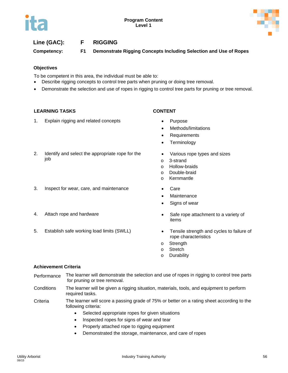

# **Line (GAC): F RIGGING**

**Competency: F1 Demonstrate Rigging Concepts Including Selection and Use of Ropes** 

## **Objectives**

To be competent in this area, the individual must be able to:

- Describe rigging concepts to control tree parts when pruning or doing tree removal.
- Demonstrate the selection and use of ropes in rigging to control tree parts for pruning or tree removal.

## **LEARNING TASKS CONTENT**

1. Explain rigging and related concepts **COV COV e** Purpose

- 
- Methods/limitations
- **Requirements**
- Terminology
- 2. Identify and select the appropriate rope for the job
- 3. Inspect for wear, care, and maintenance  $\bullet$  Care
- 
- 5. Establish safe working load limits (SWLL) **•** Tensile strength and cycles to failure of
- Various rope types and sizes
- o 3-strand
- o Hollow-braids
- o Double-braid
- o Kernmantle
- 
- Maintenance
- Signs of wear
- 4. Attach rope and hardware **Safe rope attachment to a variety of** safe rope attachment to a variety of items
	- rope characteristics
	- o Strength
	- o Stretch
	- o Durability

## **Achievement Criteria**

- Performance The learner will demonstrate the selection and use of ropes in rigging to control tree parts for pruning or tree removal.
- Conditions The learner will be given a rigging situation, materials, tools, and equipment to perform required tasks.
- Criteria The learner will score a passing grade of 75% or better on a rating sheet according to the following criteria:
	- Selected appropriate ropes for given situations
	- Inspected ropes for signs of wear and tear
	- Properly attached rope to rigging equipment
	- Demonstrated the storage, maintenance, and care of ropes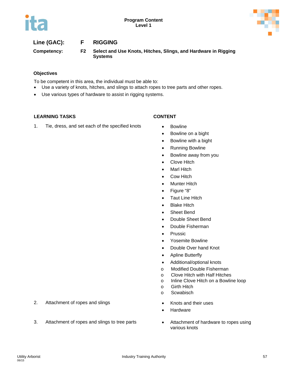

# **Line (GAC): F RIGGING**

**Competency: F2 Select and Use Knots, Hitches, Slings, and Hardware in Rigging Systems**

## **Objectives**

To be competent in this area, the individual must be able to:

- Use a variety of knots, hitches, and slings to attach ropes to tree parts and other ropes.
- Use various types of hardware to assist in rigging systems.

## LEARNING TASKS CONTENT

1. Tie, dress, and set each of the specified knots • Bowline

- 
- Bowline on a bight
- Bowline with a bight
- Running Bowline
- Bowline away from you
- Clove Hitch
- Marl Hitch
- Cow Hitch
- Munter Hitch
- Figure "8"
- Taut Line Hitch
- Blake Hitch
- Sheet Bend
- Double Sheet Bend
- Double Fisherman
- Prussic
- Yosemite Bowline
- Double Over hand Knot
- Apline Butterfly
- Additional/optional knots
- o Modified Double Fisherman
- o Clove Hitch with Half Hitches
- o Inline Clove Hitch on a Bowline loop
- o Girth Hitch
- o Scwabisch
- 
- Hardware
- various knots
- 2. Attachment of ropes and slings **Example 2.** Attachment of ropes and slings
- 3. Attachment of ropes and slings to tree parts **••** Attachment of hardware to ropes using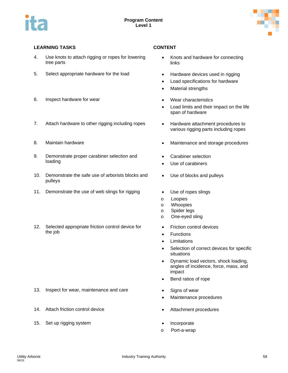



- 4. Use knots to attach rigging or ropes for lowering tree parts
- 5. Select appropriate hardware for the load **Case Communist Contract Contract** + Hardware devices used in rigging
- 6. Inspect hardware for wear **Wear Constructed Constructed Constructeristics Wear characteristics**
- 7. Attach hardware to other rigging including ropes Hardware attachment procedures to
- 
- 9. Demonstrate proper carabiner selection and loading
- 10. Demonstrate the safe use of arborists blocks and pulleys
- 11. Demonstrate the use of web slings for rigging Use of ropes slings
- 12. Selected appropriate friction control device for the job

- 13. Inspect for wear, maintenance and care **Signs of wear** Signs of wear
- 14. Attach friction control device **Attachment procedures Attachment procedures**
- 15. Set up rigging system **Incorporate Incorporate**

- Knots and hardware for connecting links
- 
- Load specifications for hardware
- Material strengths
- 
- Load limits and their impact on the life span of hardware
- various rigging parts including ropes
- 8. Maintain hardware **Maintenance and storage procedures** Maintenance and storage procedures
	- Carabiner selection
	- Use of carabiners
	- Use of blocks and pulleys
	-
	- o Loopies
	- o Whoopies
	- o Spider legs
	- o One-eyed sling
	- Friction control devices
	- **Functions**
	- Limitations
	- Selection of correct devices for specific situations
	- Dynamic load vectors, shock loading, angles of incidence, force, mass, and impact
	- Bend ratios of rope
	-
	- Maintenance procedures
	-
	-
	- o Port-a-wrap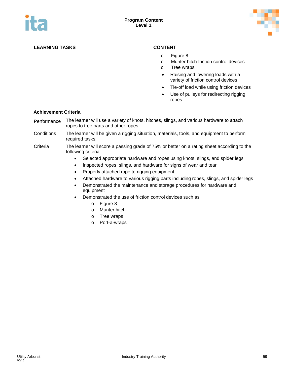

- o Figure 8
- o Munter hitch friction control devices
- o Tree wraps
- Raising and lowering loads with a variety of friction control devices
- Tie-off load while using friction devices
- Use of pulleys for redirecting rigging ropes

### **Achievement Criteria**

- Performance The learner will use a variety of knots, hitches, slings, and various hardware to attach ropes to tree parts and other ropes.
- Conditions The learner will be given a rigging situation, materials, tools, and equipment to perform required tasks.
- Criteria The learner will score a passing grade of 75% or better on a rating sheet according to the following criteria:
	- Selected appropriate hardware and ropes using knots, slings, and spider legs
	- Inspected ropes, slings, and hardware for signs of wear and tear
	- Properly attached rope to rigging equipment
	- Attached hardware to various rigging parts including ropes, slings, and spider legs
	- Demonstrated the maintenance and storage procedures for hardware and equipment
	- Demonstrated the use of friction control devices such as
		- o Figure 8
		- o Munter hitch
		- o Tree wraps
		- o Port-a-wraps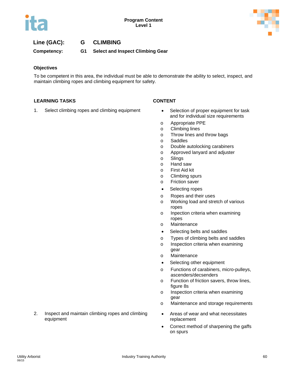

**Competency: G1 Select and Inspect Climbing Gear** 

### **Objectives**

To be competent in this area, the individual must be able to demonstrate the ability to select, inspect, and maintain climbing ropes and climbing equipment for safety.

## **LEARNING TASKS CONTENT**

1. Select climbing ropes and climbing equipment **Selection of proper equipment for task** 

- and for individual size requirements
- o Appropriate PPE
- o Climbing lines
- o Throw lines and throw bags
- o Saddles
- o Double autolocking carabiners
- o Approved lanyard and adjuster
- o Slings
- o Hand saw
- o First Aid kit
- o Climbing spurs
- o Friction saver
- Selecting ropes
- o Ropes and their uses
- o Working load and stretch of various ropes
- o Inpection criteria when examining ropes
- o Maintenance
- Selecting belts and saddles
- o Types of climbing belts and saddles
- o Inspection criteria when examining gear
- o Maintenance
- Selecting other equipment
- o Functions of carabiners, micro-pulleys, ascenders/decsenders
- o Function of friction savers, throw lines, figure 8s
- o Inspection criteria when examining gear
- o Maintenance and storage requirements
- Areas of wear and what necessitates replacement
- Correct method of sharpening the gaffs on spurs
- 2. Inspect and maintain climbing ropes and climbing equipment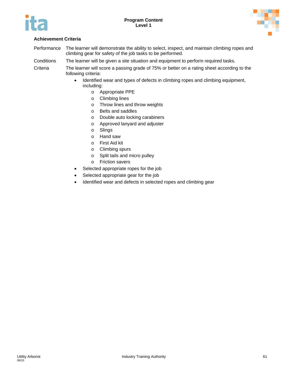



## **Achievement Criteria**

- Performance The learner will demonstrate the ability to select, inspect, and maintain climbing ropes and climbing gear for safety of the job tasks to be performed.
- Conditions The learner will be given a site situation and equipment to perform required tasks.
- Criteria The learner will score a passing grade of 75% or better on a rating sheet according to the following criteria:
	- Identified wear and types of defects in climbing ropes and climbing equipment, including:
		- o Appropriate PPE
		- o Climbing lines
		- o Throw lines and throw weights
		- o Belts and saddles
		- o Double auto locking carabiners
		- o Approved lanyard and adjuster
		- o Slings
		- o Hand saw
		- o First Aid kit
		- o Climbing spurs
		- o Split tails and micro pulley
		- o Friction savers
	- Selected appropriate ropes for the job
	- Selected appropriate gear for the job
	- Identified wear and defects in selected ropes and climbing gear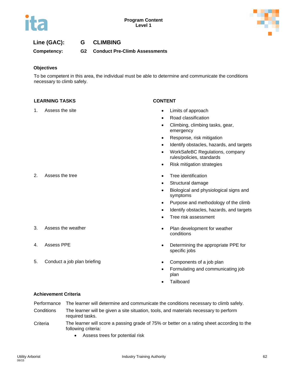

**Competency: G2 Conduct Pre-Climb Assessments** 

### **Objectives**

To be competent in this area, the individual must be able to determine and communicate the conditions necessary to climb safely.

## **LEARNING TASKS CONTENT**

- 1. Assess the site **Limits** of approach
	- Road classification
	- Climbing, climbing tasks, gear, emergency
	- Response, risk mitigation
	- Identify obstacles, hazards, and targets
	- WorkSafeBC Regulations, company rules/policies, standards
	- Risk mitigation strategies
- 2. Assess the tree **Tree** identification
	- Structural damage
	- Biological and physiological signs and symptoms
	- Purpose and methodology of the climb
	- Identify obstacles, hazards, and targets
	- Tree risk assessment
- 3. Assess the weather **EXA is a set of the set of the S** and Plan development for weather conditions
- 4. Assess PPE **Determining the appropriate PPE** for specific jobs
- 5. Conduct a job plan briefing **Components of a job plan** 
	- Formulating and communicating job plan
	- **Tailboard**

## **Achievement Criteria**

- Performance The learner will determine and communicate the conditions necessary to climb safely. Conditions The learner will be given a site situation, tools, and materials necessary to perform required tasks.
- Criteria The learner will score a passing grade of 75% or better on a rating sheet according to the following criteria:
	- Assess trees for potential risk

- 
- 
-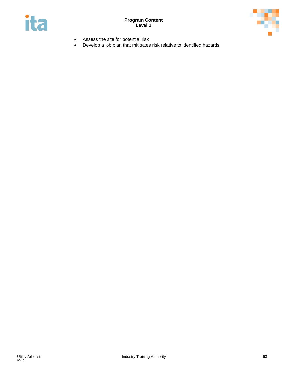

- Assess the site for potential risk
- Develop a job plan that mitigates risk relative to identified hazards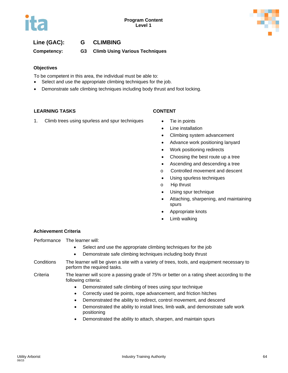

**Competency: G3 Climb Using Various Techniques** 

### **Objectives**

To be competent in this area, the individual must be able to:

- Select and use the appropriate climbing techniques for the job.
- Demonstrate safe climbing techniques including body thrust and foot locking.

## **LEARNING TASKS CONTENT**

1. Climb trees using spurless and spur techniques • Tie in points

- 
- Line installation
- Climbing system advancement
- Advance work positioning lanyard
- Work positioning redirects
- Choosing the best route up a tree
- Ascending and descending a tree
- o Controlled movement and descent
- Using spurless techniques
- o Hip thrust
- Using spur technique
- Attaching, sharpening, and maintaining spurs
- Appropriate knots
- Limb walking

## **Achievement Criteria**

Performance The learner will:

- Select and use the appropriate climbing techniques for the job
- Demonstrate safe climbing techniques including body thrust
- Conditions The learner will be given a site with a variety of trees, tools, and equipment necessary to perform the required tasks.
- Criteria The learner will score a passing grade of 75% or better on a rating sheet according to the following criteria:
	- Demonstrated safe climbing of trees using spur technique
	- Correctly used tie points, rope advancement, and friction hitches
	- Demonstrated the ability to redirect, control movement, and descend
	- Demonstrated the ability to install lines, limb walk, and demonstrate safe work positioning
	- Demonstrated the ability to attach, sharpen, and maintain spurs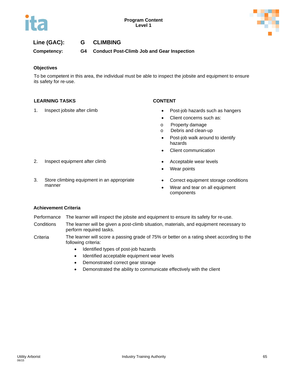

**Competency: G4 Conduct Post-Climb Job and Gear Inspection** 

### **Objectives**

To be competent in this area, the individual must be able to inspect the jobsite and equipment to ensure its safety for re-use.

## **LEARNING TASKS CONTENT**

3. Store climbing equipment in an appropriate

- 1. Inspect jobsite after climb  $\bullet$  Post-job hazards such as hangers
	- Client concerns such as:
	- o Property damage
	- o Debris and clean-up
	- Post-job walk around to identify hazards
	- Client communication
- 2. Inspect equipment after climb  $\bullet$  Acceptable wear levels
	- Wear points
	- Correct equipment storage conditions
	- Wear and tear on all equipment components

### **Achievement Criteria**

manner

- Performance The learner will inspect the jobsite and equipment to ensure its safety for re-use.
- Conditions The learner will be given a post-climb situation, materials, and equipment necessary to perform required tasks.
- Criteria The learner will score a passing grade of 75% or better on a rating sheet according to the following criteria:
	- Identified types of post-job hazards
	- Identified acceptable equipment wear levels
	- Demonstrated correct gear storage
	- Demonstrated the ability to communicate effectively with the client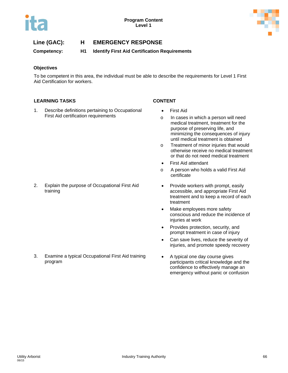

**Competency: H1 Identify First Aid Certification Requirements** 

## **Objectives**

To be competent in this area, the individual must be able to describe the requirements for Level 1 First Aid Certification for workers.

## **LEARNING TASKS CONTENT**

1. Describe definitions pertaining to Occupational First Aid certification requirements

2. Explain the purpose of Occupational First Aid training

3. Examine a typical Occupational First Aid training program

- First Aid
- o In cases in which a person will need medical treatment, treatment for the purpose of preserving life, and minimizing the consequences of injury until medical treatment is obtained
- o Treatment of minor injuries that would otherwise receive no medical treatment or that do not need medical treatment
- First Aid attendant
- o A person who holds a valid First Aid certificate
- Provide workers with prompt, easily accessible, and appropriate First Aid treatment and to keep a record of each treatment
- Make employees more safety conscious and reduce the incidence of injuries at work
- Provides protection, security, and prompt treatment in case of injury
- Can save lives, reduce the severity of injuries, and promote speedy recovery
- A typical one day course gives participants critical knowledge and the confidence to effectively manage an emergency without panic or confusion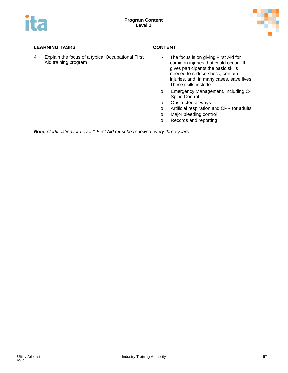



4. Explain the focus of a typical Occupational First Aid training program

- The focus is on giving First Aid for common injuries that could occur. It gives participants the basic skills needed to reduce shock, contain injuries, and, in many cases, save lives. These skills include
- o Emergency Management, including C-Spine Control
- o Obstructed airways
- o Artificial respiration and CPR for adults
- o Major bleeding control
- o Records and reporting

*Note: Certification for Level 1 First Aid must be renewed every three years.*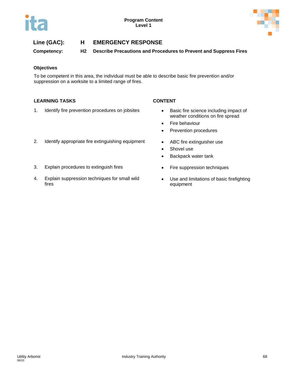

**Competency: H2 Describe Precautions and Procedures to Prevent and Suppress Fires** 

## **Objectives**

To be competent in this area, the individual must be able to describe basic fire prevention and/or suppression on a worksite to a limited range of fires.

## LEARNING TASKS CONTENT

1. Identify fire prevention procedures on jobsites **•** Basic fire science including impact of

- weather conditions on fire spread
- Fire behaviour
- Prevention procedures
- 
- Shovel use
- Backpack water tank
- 
- Use and limitations of basic firefighting equipment
- 2. Identify appropriate fire extinguishing equipment ABC fire extinguisher use
- 3. Explain procedures to extinguish fires **Filter State State Explain** Fire suppression techniques
- 4. Explain suppression techniques for small wild fires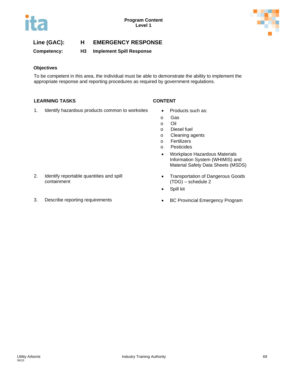

**Competency: H3 Implement Spill Response** 

## **Objectives**

To be competent in this area, the individual must be able to demonstrate the ability to implement the appropriate response and reporting procedures as required by government regulations.

## **LEARNING TASKS CONTENT**

- 1. Identify hazardous products common to worksites Products such as:
- - o Gas
	- o Oil
	- o Diesel fuel
	- o Cleaning agents
	- o Fertilizers
	- o Pesticides
	- Workplace Hazardous Materials Information System (WHIMIS) and Material Safety Data Sheets (MSDS)

- 2. Identify reportable quantities and spill containment
- 
- Transportation of Dangerous Goods (TDG) – schedule 2
- Spill kit
- 3. Describe reporting requirements **and Secret Contains Containers BC** Provincial Emergency Program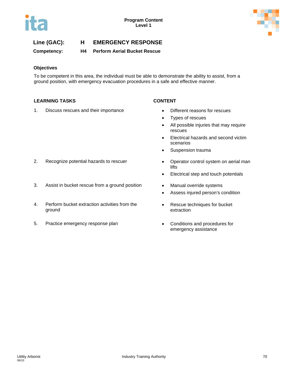

**Competency: H4 Perform Aerial Bucket Rescue** 

## **Objectives**

To be competent in this area, the individual must be able to demonstrate the ability to assist, from a ground position, with emergency evacuation procedures in a safe and effective manner.

## **LEARNING TASKS CONTENT**

1. Discuss rescues and their importance **Different reasons for rescues** 

- 
- Types of rescues
- All possible injuries that may require rescues
- Electrical hazards and second victim scenarios
- Suspension trauma
- 2. Recognize potential hazards to rescuer **CODE 100 CODE 100 CODE 100 CODE 100 CODE** 2. lifts
	- Electrical step and touch potentials
	-
	- Assess injured person's condition
	- Rescue techniques for bucket extraction
	- emergency assistance

- 3. Assist in bucket rescue from a ground position Manual override systems
- 4. Perform bucket extraction activities from the ground
- 5. Practice emergency response plan **CONDEN CONDUCTS** Conditions and procedures for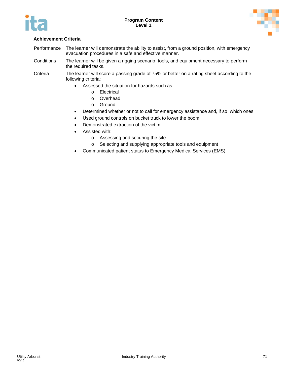



## **Achievement Criteria**

- Performance The learner will demonstrate the ability to assist, from a ground position, with emergency evacuation procedures in a safe and effective manner.
- Conditions The learner will be given a rigging scenario, tools, and equipment necessary to perform the required tasks.
- Criteria The learner will score a passing grade of 75% or better on a rating sheet according to the following criteria:
	- Assessed the situation for hazards such as
		- o Electrical
		- o Overhead
		- o Ground
	- Determined whether or not to call for emergency assistance and, if so, which ones
	- Used ground controls on bucket truck to lower the boom
	- Demonstrated extraction of the victim
	- Assisted with:
		- o Assessing and securing the site
			- o Selecting and supplying appropriate tools and equipment
	- Communicated patient status to Emergency Medical Services (EMS)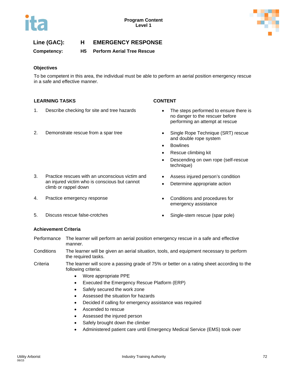

# **Line (GAC): H EMERGENCY RESPONSE**

**Competency: H5 Perform Aerial Tree Rescue** 

# **Objectives**

To be competent in this area, the individual must be able to perform an aerial position emergency rescue in a safe and effective manner.

### **LEARNING TASKS CONTENT**

1. Describe checking for site and tree hazards **The steps performed to ensure there is** 

3. Practice rescues with an unconscious victim and an injured victim who is conscious but cannot

2. Demonstrate rescue from a spar tree **Single Rope Technique (SRT)** rescue

- no danger to the rescuer before performing an attempt at rescue
- and double rope system
- Bowlines
- Rescue climbing kit
- Descending on own rope (self-rescue technique)
- Assess injured person's condition
- Determine appropriate action
- 4. Practice emergency response **CONDENSIC CONDUCTS** Conditions and procedures for emergency assistance
- 5. Discuss rescue false-crotches **Single-stem rescue (spar pole) Single-stem rescue (spar pole)**

# **Achievement Criteria**

climb or rappel down

- Performance The learner will perform an aerial position emergency rescue in a safe and effective manner.
- Conditions The learner will be given an aerial situation, tools, and equipment necessary to perform the required tasks.
- Criteria The learner will score a passing grade of 75% or better on a rating sheet according to the following criteria:
	- Wore appropriate PPE
	- Executed the Emergency Rescue Platform (ERP)
	- Safely secured the work zone
	- Assessed the situation for hazards
	- Decided if calling for emergency assistance was required
	- Ascended to rescue
	- Assessed the injured person
	- Safely brought down the climber
	- Administered patient care until Emergency Medical Service (EMS) took over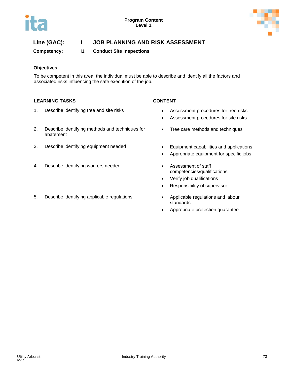

**Competency: I1 Conduct Site Inspections** 

# **Objectives**

To be competent in this area, the individual must be able to describe and identify all the factors and associated risks influencing the safe execution of the job.

- 1. Describe identifying tree and site risks **Assessment procedures for tree risks**
- 2. Describe identifying methods and techniques for abatement
- 3. Describe identifying equipment needed **Source 10 Company** Equipment capabilities and applications
- 4. Describe identifying workers needed **Assessment of staff**
- 5. Describe identifying applicable regulations **Applicable regulations and labour**

- 
- Assessment procedures for site risks
- Tree care methods and techniques
- 
- Appropriate equipment for specific jobs
- competencies/qualifications
- Verify job qualifications
- Responsibility of supervisor
- standards
- Appropriate protection guarantee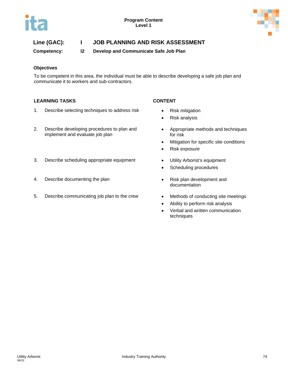

**Competency: I2 Develop and Communicate Safe Job Plan** 

# **Objectives**

To be competent in this area, the individual must be able to describe developing a safe job plan and communicate it to workers and sub-contractors.

- 1. Describe selecting techniques to address risk **•** Risk mitigation
- 2. Describe developing procedures to plan and implement and evaluate job plan
- 3. Describe scheduling appropriate equipment Utility Arborist's equipment
- 4. Describe documenting the plan **Right Conserversity Risk plan development and**
- 5. Describe communicating job plan to the crew Methods of conducting site meetings

- 
- Risk analysis
- Appropriate methods and techniques for risk
- Mitigation for specific site conditions
- Risk exposure
- 
- Scheduling procedures
- documentation
- 
- Ability to perform risk analysis
- Verbal and written communication techniques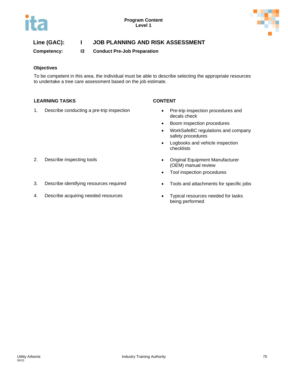

**Competency: I3 Conduct Pre-Job Preparation** 

# **Objectives**

To be competent in this area, the individual must be able to describe selecting the appropriate resources to undertake a tree care assessment based on the job estimate.

# **LEARNING TASKS CONTENT**

1. Describe conducting a pre-trip inspection **Conservation Conservation** Pre-trip inspection procedures and

- decals check
- Boom inspection procedures
- WorkSafeBC regulations and company safety procedures
- Logbooks and vehicle inspection checklists
- 2. Describe inspecting tools **Conserverse Conserverse Conserverse Conserverse Conserverse Conserverse Conserverse Conserverse Conserverse Conserverse Conserverse Conserverse Conserverse Conserverse Conserverse Conserverse** (OEM) manual review
	- Tool inspection procedures
	-
	- being performed
- 
- 3. Describe identifying resources required **Tools** and attachments for specific jobs
- 4. Describe acquiring needed resources **and the System of Typical resources needed for tasks**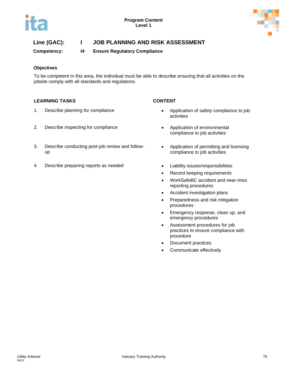

**Competency: I4 Ensure Regulatory Compliance** 

# **Objectives**

To be competent in this area, the individual must be able to describe ensuring that all activities on the jobsite comply with all standards and regulations.

- 
- 2. Describe inspecting for compliance **Application of environmental**
- 3. Describe conducting post-job review and followup
- 4. Describe preparing reports as needed **by the end of the United States** Liability issues/responsibilities

- 1. Describe planning for compliance **Application** of safety compliance to job activities
	- compliance to job activities
	- Application of permitting and licensing compliance to job activities
	-
	- Record keeping requirements
	- WorkSafeBC accident and near-miss reporting procedures
	- Accident investigation plans
	- Preparedness and risk mitigation procedures
	- Emergency response, clean up, and emergency procedures
	- Assessment procedures for job practices to ensure compliance with procedure
	- Document practices
	- Communicate effectively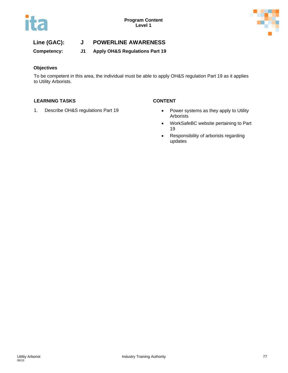

**Competency: J1 Apply OH&S Regulations Part 19** 

# **Objectives**

To be competent in this area, the individual must be able to apply OH&S regulation Part 19 as it applies to Utility Arborists.

- 1. Describe OH&S regulations Part 19 **1. Describe OH&S** regulations Part 19 Arborists
	- WorkSafeBC website pertaining to Part 19
	- Responsibility of arborists regarding updates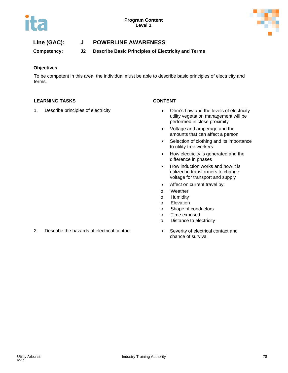

**Competency: J2 Describe Basic Principles of Electricity and Terms** 

# **Objectives**

To be competent in this area, the individual must be able to describe basic principles of electricity and terms.

- 1. Describe principles of electricity **Description Conduct 1 Ohm's Law and the levels of electricity** utility vegetation management will be performed in close proximity
	- Voltage and amperage and the amounts that can affect a person
	- Selection of clothing and its importance to utility tree workers
	- How electricity is generated and the difference in phases
	- How induction works and how it is utilized in transformers to change voltage for transport and supply
	- Affect on current travel by:
	- o Weather
	- o Humidity
	- o Elevation
	- o Shape of conductors
	- o Time exposed
	- o Distance to electricity
	- chance of survival
- 2. Describe the hazards of electrical contact **Severity of electrical contact and**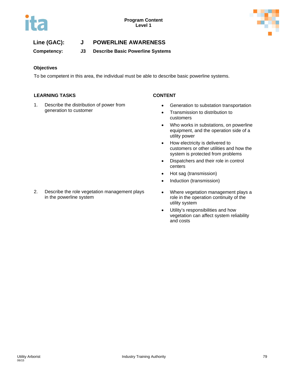



**Competency: J3 Describe Basic Powerline Systems** 

# **Objectives**

To be competent in this area, the individual must be able to describe basic powerline systems.

# LEARNING TASKS CONTENT

1. Describe the distribution of power from generation to customer

- Generation to substation transportation
- Transmission to distribution to customers
- Who works in substations, on powerline equipment, and the operation side of a utility power
- How electricity is delivered to customers or other utilities and how the system is protected from problems
- Dispatchers and their role in control centers
- Hot sag (transmission)
- Induction (transmission)
- Where vegetation management plays a role in the operation continuity of the utility system
- Utility's responsibilities and how vegetation can affect system reliability and costs
- 2. Describe the role vegetation management plays in the powerline system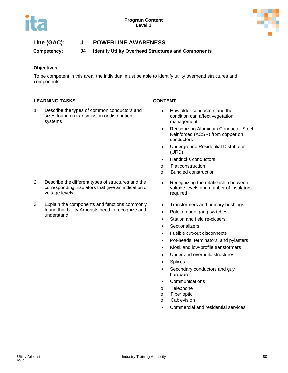

**Competency: J4 Identify Utility Overhead Structures and Components** 

# **Objectives**

To be competent in this area, the individual must be able to identify utility overhead structures and components.

# **LEARNING TASKS CONTENT**

voltage levels

1. Describe the types of common conductors and sizes found on transmission or distribution systems

- How older conductors and their condition can affect vegetation management
- Recognizing Aluminum Conductor Steel Reinforced (ACSR) from copper on conductors
- Underground Residential Distributor (URD)
- Hendricks conductors
- o Flat construction
- o Bundled construction
- Recognizing the relationship between voltage levels and number of insulators required
- Transformers and primary bushings
- Pole top and gang switches
- Station and field re-closers
- **Sectionalizers**
- Fusible cut-out disconnects
- Pot-heads, terminators, and pylasters
- Kiosk and low-profile transformers
- Under and overbuild structures
- Splices
- Secondary conductors and guy hardware
- Communications
- o Telephone
- o Fiber optic
- o Cablevision
- Commercial and residential services

3. Explain the components and functions commonly found that Utility Arborists need to recognize and understand

2. Describe the different types of structures and the corresponding insulators that give an indication of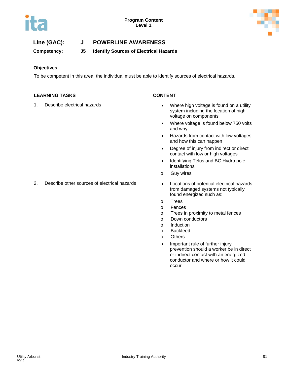



**Competency: J5 Identify Sources of Electrical Hazards** 

# **Objectives**

To be competent in this area, the individual must be able to identify sources of electrical hazards.

- 1. Describe electrical hazards **1. A very set of the U.S. Section** V where high voltage is found on a utility system including the location of high voltage on components
	- Where voltage is found below 750 volts and why
	- Hazards from contact with low voltages and how this can happen
	- Degree of injury from indirect or direct contact with low or high voltages
	- Identifying Telus and BC Hydro pole installations
	- o Guy wires
- 2. Describe other sources of electrical hazards **Conservance Conservance Conservance Conservance Conservance Conservance Conservance Conservance Conservance Conservance Conservance Conservance Conservance Conservance Conse** from damaged systems not typically found energized such as:
	- o Trees
	- o Fences
	- o Trees in proximity to metal fences
	- o Down conductors
	- o Induction
	- o Backfeed
	- o Others
	- Important rule of further injury prevention should a worker be in direct or indirect contact with an energized conductor and where or how it could occur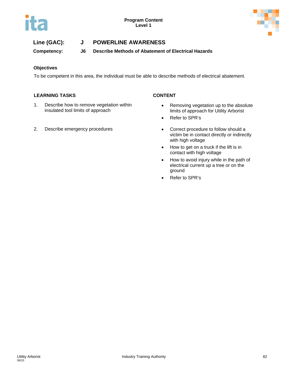



**Competency: J6 Describe Methods of Abatement of Electrical Hazards** 

### **Objectives**

To be competent in this area, the individual must be able to describe methods of electrical abatement.

- 1. Describe how to remove vegetation within insulated tool limits of approach
- 

- Removing vegetation up to the absolute limits of approach for Utility Arborist
- Refer to SPR's
- 2. Describe emergency procedures **COLL COLLECT COLLECT** Correct procedure to follow should a victim be in contact directly or indirectly with high voltage
	- How to get on a truck if the lift is in contact with high voltage
	- How to avoid injury while in the path of electrical current up a tree or on the ground
	- Refer to SPR's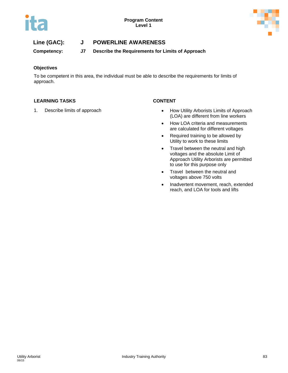

**Competency: J7 Describe the Requirements for Limits of Approach** 

# **Objectives**

To be competent in this area, the individual must be able to describe the requirements for limits of approach.

- 1. Describe limits of approach **Exercise 1 How Utility Arborists Limits of Approach** (LOA) are different from line workers
	- How LOA criteria and measurements are calculated for different voltages
	- Required training to be allowed by Utility to work to these limits
	- Travel between the neutral and high voltages and the absolute Limit of Approach Utility Arborists are permitted to use for this purpose only
	- Travel between the neutral and voltages above 750 volts
	- Inadvertent movement, reach, extended reach, and LOA for tools and lifts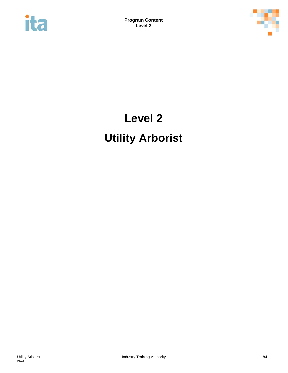



# **Level 2 Utility Arborist**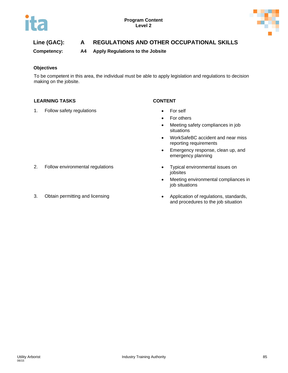

# **Line (GAC): A REGULATIONS AND OTHER OCCUPATIONAL SKILLS**

**Competency: A4 Apply Regulations to the Jobsite** 

# **Objectives**

To be competent in this area, the individual must be able to apply legislation and regulations to decision making on the jobsite.

# **LEARNING TASKS CONTENT**

1. Follow safety regulations **Follow For self** 

- 
- For others
- Meeting safety compliances in job situations
- WorkSafeBC accident and near miss reporting requirements
- Emergency response, clean up, and emergency planning
- 2. Follow environmental regulations **COV COV COV COV COV COV COV COV COV COV COV COV COV COV COV COV COV COV COV COV COV COV COV COV COV COV COV COV COV COV COV** jobsites
	- Meeting environmental compliances in job situations
- 3. Obtain permitting and licensing **All and Application of regulations**, standards, and procedures to the job situation
- 
-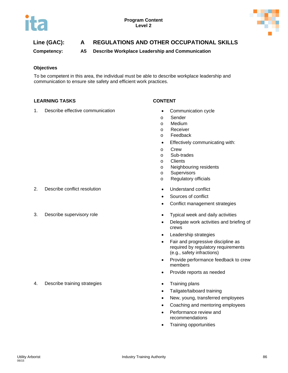

# **Line (GAC): A REGULATIONS AND OTHER OCCUPATIONAL SKILLS**

**Competency: A5 Describe Workplace Leadership and Communication** 

# **Objectives**

To be competent in this area, the individual must be able to describe workplace leadership and communication to ensure site safety and efficient work practices.

### **LEARNING TASKS CONTENT**

1. Describe effective communication **Communication Communication** cycle

- 
- o Sender
- o Medium
- o Receiver
- o Feedback
- **•** Effectively communicating with:
- o Crew
- o Sub-trades
- o Clients
- o Neighbouring residents
- o Supervisors
- o Regulatory officials
- 
- Sources of conflict
- Conflict management strategies
- 3. Describe supervisory role **Typical week and daily activities** 
	- Delegate work activities and briefing of crews
	- Leadership strategies
	- Fair and progressive discipline as required by regulatory requirements (e.g., safety infractions)
	- Provide performance feedback to crew members
	- Provide reports as needed
	-
	- Tailgate/taiboard training
	- New, young, transferred employees
	- Coaching and mentoring employees
	- Performance review and recommendations
	- Training opportunities

2. Describe conflict resolution Understand conflict

4. Describe training strategies **Training plans Training plans**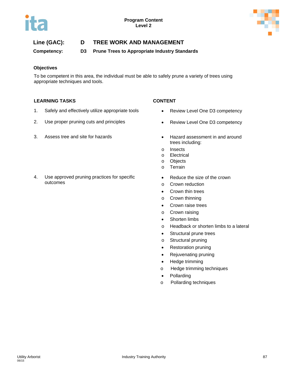

# **Line (GAC): D TREE WORK AND MANAGEMENT**

**Competency: D3 Prune Trees to Appropriate Industry Standards** 

# **Objectives**

To be competent in this area, the individual must be able to safely prune a variety of trees using appropriate techniques and tools.

- 1. Safely and effectively utilize appropriate tools **•** Review Level One D3 competency
- 2. Use proper pruning cuts and principles **COV COV** Review Level One D3 competency
- 3. Assess tree and site for hazards
- 4. Use approved pruning practices for specific outcomes
- -
	-
	- Hazard assessment in and around trees including:
	- o Insects
	- o Electrical
	- o Objects
	- o Terrain
	- Reduce the size of the crown
	- o Crown reduction
	- Crown thin trees
	- o Crown thinning
	- Crown raise trees
	- o Crown raising
	- Shorten limbs
	- o Headback or shorten limbs to a lateral
	- Structural prune trees
	- o Structural pruning
	- Restoration pruning
	- Rejuvenating pruning
	- Hedge trimming
	- o Hedge trimming techniques
	- Pollarding
	- o Pollarding techniques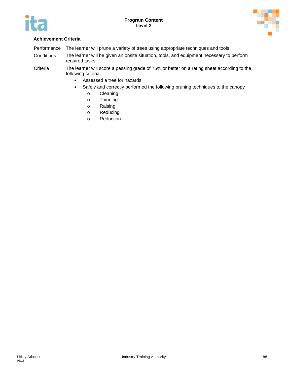



# **Achievement Criteria**

Performance The learner will prune a variety of trees using appropriate techniques and tools.

Conditions The learner will be given an onsite situation, tools, and equipment necessary to perform required tasks.

Criteria The learner will score a passing grade of 75% or better on a rating sheet according to the following criteria:

- Assessed a tree for hazards
- Safely and correctly performed the following pruning techniques to the canopy
	- o Cleaning
	- o Thinning
	- o Raising
	- o Reducing
	- o Reduction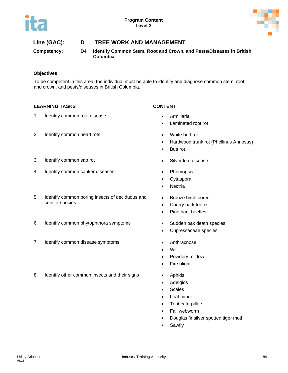

# **Line (GAC): D TREE WORK AND MANAGEMENT**

**Competency: D4 Identify Common Stem, Root and Crown, and Pests/Diseases in British Columbia** 

# **Objectives**

To be competent in this area, the individual must be able to identify and diagnose common stem, root and crown, and pests/diseases in British Columbia.

# LEARNING TASKS CONTENT

- 1. Identify common root disease **Armillaria Common Foot disease Armillaria**
- 2. Identify common heart rots **COV COV COV COV COV COV COV COV COV COV COV COV COV COV COV COV COV COV COV COV COV COV COV COV COV COV COV COV COV COV COV COV**

- 
- Laminated root rot
- 
- Hardwood trunk rot (Phellinus Annosus)
- Butt rot
- -
- Cytaspora
- Nectria
- Bronze birch borer
- Cherry bark tortrix
- Pine bark beetles
- 
- Cupressaceae species
- 
- Wilt
- Powdery mildew
- Fire blight
- 
- Adelgids
- Scales
- Leaf miner
- Tent caterpillars
- Fall webworm
- Douglas fir silver spotted tiger moth
- Sawfly

3. Identify common sap rot **Silver Leaf disease** Silver leaf disease

- 4. Identify common canker diseases **Common Canker as a Common Server Phomopsis**
- 5. Identify common boring insects of deciduous and conifer species
- 6. Identify common phytophthora symptoms Sudden oak death species
- 7. Identify common disease symptoms **COVID-10** Anthracnose
- 8. Identify other common insects and their signs Aphids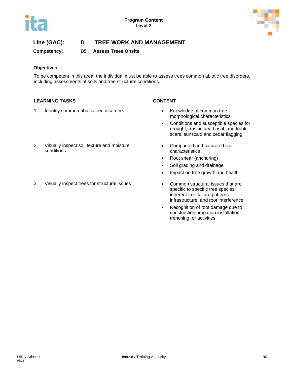

# **Line (GAC): D TREE WORK AND MANAGEMENT**

**Competency: D5 Assess Trees Onsite** 

# **Objectives**

To be competent in this area, the individual must be able to assess trees common abiotic tree disorders, including assessments of soils and tree structural conditions.

- 1. Identify common abiotic tree disorders **Common in the state of common tree**
- 2. Visually inspect soil texture and moisture conditions
- 3. Visually inspect trees for structural issues Common structural issues that are

- morphological characteristics
- Conditions and susceptible species for drought, frost injury, basal, and trunk scars, sunscald and cedar flagging
- Compacted and saturated soil characteristics
- Root shear (anchoring)
- Soil grading and drainage
- Impact on tree growth and health
- specific to specific tree species, inherent tree failure patterns infrastructure, and root interference
- Recognition of root damage due to construction, irrigation installation trenching, or activities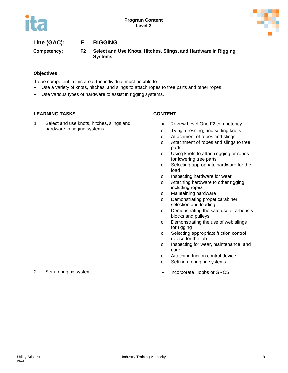

# **Line (GAC): F RIGGING**

**Competency: F2 Select and Use Knots, Hitches, Slings, and Hardware in Rigging Systems**

# **Objectives**

To be competent in this area, the individual must be able to:

- Use a variety of knots, hitches, and slings to attach ropes to tree parts and other ropes.
- Use various types of hardware to assist in rigging systems.

# LEARNING TASKS CONTENT

1. Select and use knots, hitches, slings and hardware in rigging systems

- Review Level One F2 competency
- o Tying, dressing, and setting knots
- o Attachment of ropes and slings
- o Attachment of ropes and slings to tree parts
- o Using knots to attach rigging or ropes for lowering tree parts
- o Selecting appropriate hardware for the load
- o Inspecting hardware for wear
- o Attaching hardware to other rigging including ropes
- o Maintaining hardware
- o Demonstrating proper carabiner selection and loading
- o Demonstrating the safe use of arborists blocks and pulleys
- o Demonstrating the use of web slings for rigging
- o Selecting appropriate friction control device for the job
- o Inspecting for wear, maintenance, and care
- o Attaching friction control device
- o Setting up rigging systems
- 2. Set up rigging system **Incorporate Hobbs or GRCS**
-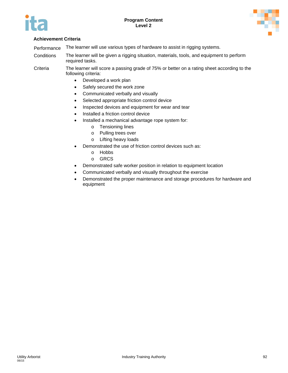



# **Achievement Criteria**

Performance The learner will use various types of hardware to assist in rigging systems.

Conditions The learner will be given a rigging situation, materials, tools, and equipment to perform required tasks.

Criteria The learner will score a passing grade of 75% or better on a rating sheet according to the following criteria:

- Developed a work plan
- Safely secured the work zone
- Communicated verbally and visually
- Selected appropriate friction control device
- Inspected devices and equipment for wear and tear
- Installed a friction control device
- Installed a mechanical advantage rope system for:
	- o Tensioning lines
	- o Pulling trees over
	- o Lifting heavy loads
- Demonstrated the use of friction control devices such as:
	- o Hobbs
	- o GRCS
- Demonstrated safe worker position in relation to equipment location
- Communicated verbally and visually throughout the exercise
- Demonstrated the proper maintenance and storage procedures for hardware and equipment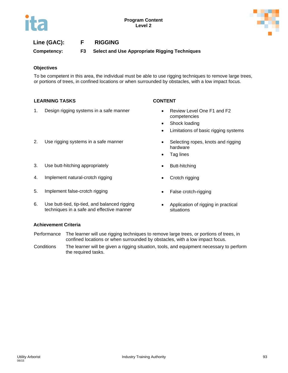

# **Line (GAC): F RIGGING**

**Competency: F3 Select and Use Appropriate Rigging Techniques** 

# **Objectives**

To be competent in this area, the individual must be able to use rigging techniques to remove large trees, or portions of trees, in confined locations or when surrounded by obstacles, with a low impact focus.

# **LEARNING TASKS CONTENT**

1. Design rigging systems in a safe manner **and the Serie Serie** Review Level One F1 and F2

6. Use butt-tied, tip-tied, and balanced rigging techniques in a safe and effective manner

- competencies
- Shock loading
- Limitations of basic rigging systems
- 2. Use rigging systems in a safe manner **Selecting ropes**, knots and rigging hardware
	- Tag lines
- 3. Use butt-hitching appropriately **Butt-hitching Butt-hitching**
- 4. Implement natural-crotch rigging **Crotch in the Crotch rigging Crotch** rigging
- 5. Implement false-crotch rigging **False crotch-rigging •** False crotch-rigging
	- Application of rigging in practical situations

- Performance The learner will use rigging techniques to remove large trees, or portions of trees, in confined locations or when surrounded by obstacles, with a low impact focus.
- Conditions The learner will be given a rigging situation, tools, and equipment necessary to perform the required tasks.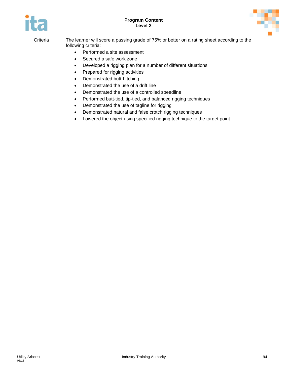



Criteria The learner will score a passing grade of 75% or better on a rating sheet according to the following criteria:

- Performed a site assessment
- Secured a safe work zone
- Developed a rigging plan for a number of different situations
- Prepared for rigging activities
- Demonstrated butt-hitching
- Demonstrated the use of a drift line
- Demonstrated the use of a controlled speedline
- Performed butt-tied, tip-tied, and balanced rigging techniques
- Demonstrated the use of tagline for rigging
- Demonstrated natural and false crotch rigging techniques
- Lowered the object using specified rigging technique to the target point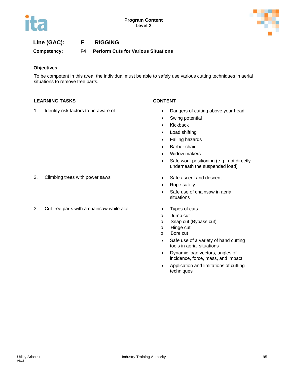

# **Line (GAC): F RIGGING**

**Competency: F4 Perform Cuts for Various Situations** 

# **Objectives**

To be competent in this area, the individual must be able to safely use various cutting techniques in aerial situations to remove tree parts.

- 1. Identify risk factors to be aware of **Dangers** of cutting above your head
	- Swing potential
	- Kickback
	- Load shifting
	- Falling hazards
	- Barber chair
	- Widow makers
	- Safe work positioning (e.g., not directly underneath the suspended load)
	-
	- Rope safety
	- Safe use of chainsaw in aerial situations
	-
	- o Jump cut
	- o Snap cut (Bypass cut)
	- o Hinge cut
	- o Bore cut
	- Safe use of a variety of hand cutting tools in aerial situations
	- Dynamic load vectors, angles of incidence, force, mass, and impact
	- Application and limitations of cutting techniques
- 2. Climbing trees with power saws **SAFE 2.** Safe ascent and descent
- 3. Cut tree parts with a chainsaw while aloft **•** Types of cuts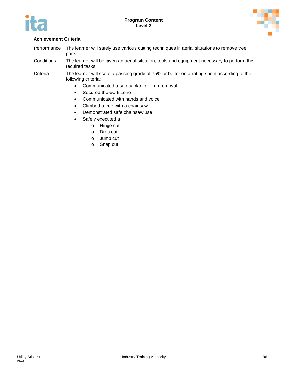



- Performance The learner will safely use various cutting techniques in aerial situations to remove tree parts.
- Conditions The learner will be given an aerial situation, tools and equipment necessary to perform the required tasks.
- Criteria The learner will score a passing grade of 75% or better on a rating sheet according to the following criteria:
	- Communicated a safety plan for limb removal
	- Secured the work zone
	- Communicated with hands and voice
	- Climbed a tree with a chainsaw
	- Demonstrated safe chainsaw use
	- Safely executed a
		- o Hinge cut
		- o Drop cut
		- o Jump cut
		- o Snap cut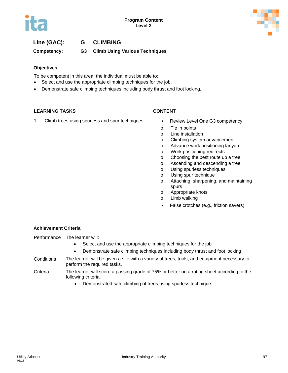

# **Line (GAC): G CLIMBING**

**Competency: G3 Climb Using Various Techniques** 

# **Objectives**

To be competent in this area, the individual must be able to:

- Select and use the appropriate climbing techniques for the job.
- Demonstrate safe climbing techniques including body thrust and foot locking.

# LEARNING TASKS CONTENT

1. Climb trees using spurless and spur techniques • Review Level One G3 competency

- 
- o Tie in points
- o Line installation
- o Climbing system advancement
- o Advance work positioning lanyard
- o Work positioning redirects
- o Choosing the best route up a tree
- o Ascending and descending a tree
- o Using spurless techniques
- o Using spur technique
- o Attaching, sharpening, and maintaining spurs
- o Appropriate knots
- o Limb walking
- False crotches (e.g., friction savers)

- Performance The learner will:
	- Select and use the appropriate climbing techniques for the job
	- Demonstrate safe climbing techniques including body thrust and foot locking
- Conditions The learner will be given a site with a variety of trees, tools, and equipment necessary to perform the required tasks.
- Criteria The learner will score a passing grade of 75% or better on a rating sheet according to the following criteria:
	- Demonstrated safe climbing of trees using spurless technique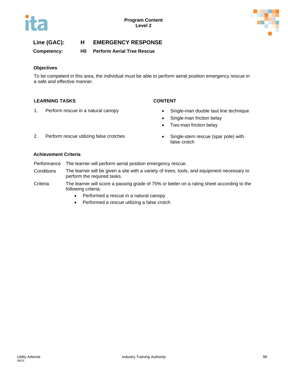

# **Line (GAC): H EMERGENCY RESPONSE**

**Competency: H5 Perform Aerial Tree Rescue** 

# **Objectives**

To be competent in this area, the individual must be able to perform aerial position emergency rescue in a safe and effective manner.

# **LEARNING TASKS CONTENT**

- 1. Perform rescue in a natural canopy **Single-man double taut line technique Single-man double taut line technique** 
	- Single-man friction belay
	- Two-man friction belay
	- false crotch
- 2. Perform rescue utilizing false crotches **Single-stem rescue (spar pole)** with

- Performance The learner will perform aerial position emergency rescue.
- Conditions The learner will be given a site with a variety of trees, tools, and equipment necessary to perform the required tasks.
- Criteria The learner will score a passing grade of 75% or better on a rating sheet according to the following criteria:
	- Performed a rescue in a natural canopy
	- Performed a rescue utilizing a false crotch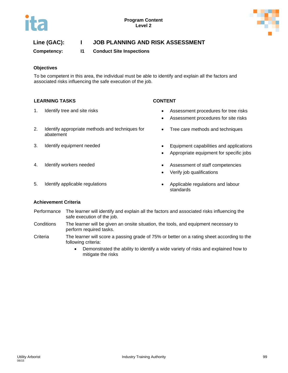

**Competency: I1 Conduct Site Inspections** 

# **Objectives**

To be competent in this area, the individual must be able to identify and explain all the factors and associated risks influencing the safe execution of the job.

# **LEARNING TASKS CONTENT**

- 
- 2. Identify appropriate methods and techniques for abatement
- 
- 
- 

- 1. Identify tree and site risks **Assessment procedures for tree risks Assessment procedures for tree risks** 
	- Assessment procedures for site risks
	- Tree care methods and techniques
- 3. Identify equipment needed **South American** Equipment capabilities and applications
	- Appropriate equipment for specific jobs
- 4. Identify workers needed **Assessment of staff competencies 4.** Assessment of staff competencies
	- Verify job qualifications
- 5. Identify applicable regulations **Applicable regulations Applicable requlations and labour** standards

- Performance The learner will identify and explain all the factors and associated risks influencing the safe execution of the job.
- Conditions The learner will be given an onsite situation, the tools, and equipment necessary to perform required tasks.
- Criteria The learner will score a passing grade of 75% or better on a rating sheet according to the following criteria:
	- Demonstrated the ability to identify a wide variety of risks and explained how to mitigate the risks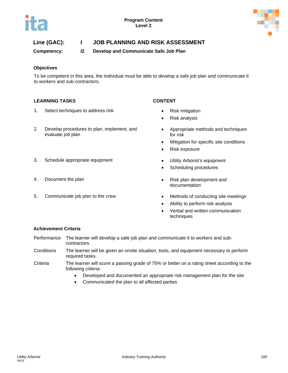

**Competency: I2 Develop and Communicate Safe Job Plan** 

# **Objectives**

To be competent in this area, the individual must be able to develop a safe job plan and communicate it to workers and sub-contractors.

### **LEARNING TASKS CONTENT**

- 1. Select techniques to address risk **Communist Constant Constant Constant** Point Risk mitigation
- 2. Develop procedures to plan, implement, and evaluate job plan

- 
- Risk analysis
- Appropriate methods and techniques for risk
- Mitigation for specific site conditions
- Risk exposure
- 3. Schedule appropriate equipment **and COV COV** Utility Arborist's equipment
	- Scheduling procedures
- 4. Document the plan **Branch Community Risk plan development and** documentation
- 5. Communicate job plan to the crew **Conduction Conductive Conducting site meetings** 
	- Ability to perform risk analysis
	- Verbal and written communication techniques

- Performance The learner will develop a safe job plan and communicate it to workers and subcontractors.
- Conditions The learner will be given an onsite situation, tools, and equipment necessary to perform required tasks.
- Criteria The learner will score a passing grade of 75% or better on a rating sheet according to the following criteria:
	- Developed and documented an appropriate risk management plan for the site
	- Communicated the plan to all affected parties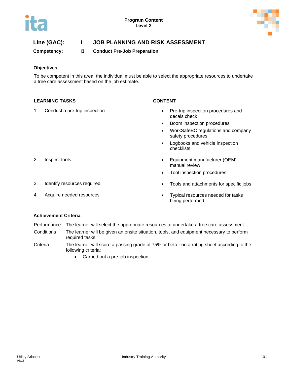

**Competency: I3 Conduct Pre-Job Preparation** 

# **Objectives**

To be competent in this area, the individual must be able to select the appropriate resources to undertake a tree care assessment based on the job estimate.

# **LEARNING TASKS CONTENT**

- 1. Conduct a pre-trip inspection **Exercise 2.1 Conduct a pre-trip inspection procedures and** decals check
	- Boom inspection procedures
	- WorkSafeBC regulations and company safety procedures
	- Logbooks and vehicle inspection checklists
- 2. Inspect tools Equipment manufacturer (OEM) manual review
	- Tool inspection procedures
- 3. Identify resources required **Tools** and attachments for specific jobs
- 4. Acquire needed resources **Acquire is a set of the Contract Accurate Typical resources needed for tasks** being performed

- Performance The learner will select the appropriate resources to undertake a tree care assessment.
- Conditions The learner will be given an onsite situation, tools, and equipment necessary to perform required tasks.
- Criteria The learner will score a passing grade of 75% or better on a rating sheet according to the following criteria:
	- Carried out a pre-job inspection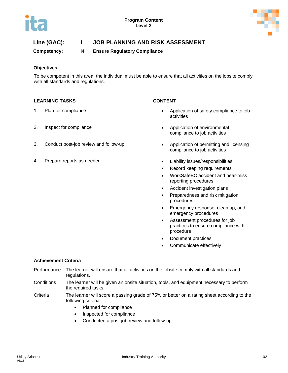

**Competency: I4 Ensure Regulatory Compliance** 

# **Objectives**

To be competent in this area, the individual must be able to ensure that all activities on the jobsite comply with all standards and regulations.

### **LEARNING TASKS CONTENT**

- 
- 
- 3. Conduct post-job review and follow-up **A**pplication of permitting and licensing
- 

- 1. Plan for compliance **Application Application of safety compliance to job** activities
- 2. Inspect for compliance **Application Application** of environmental compliance to job activities
	- compliance to job activities
- 4. Prepare reports as needed **Liability** issues/responsibilities
	- Record keeping requirements
	- WorkSafeBC accident and near-miss reporting procedures
	- Accident investigation plans
	- Preparedness and risk mitigation procedures
	- Emergency response, clean up, and emergency procedures
	- Assessment procedures for job practices to ensure compliance with procedure
	- Document practices
	- Communicate effectively

- Performance The learner will ensure that all activities on the jobsite comply with all standards and regulations.
- Conditions The learner will be given an onsite situation, tools, and equipment necessary to perform the required tasks.
- Criteria The learner will score a passing grade of 75% or better on a rating sheet according to the following criteria:
	- Planned for compliance
	- Inspected for compliance
	- Conducted a post-job review and follow-up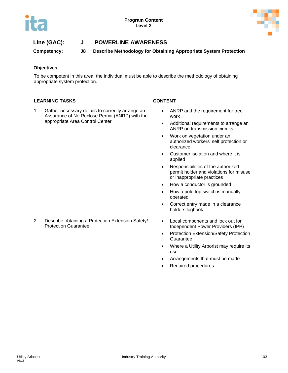

**Competency: J8 Describe Methodology for Obtaining Appropriate System Protection** 

### **Objectives**

To be competent in this area, the individual must be able to describe the methodology of obtaining appropriate system protection.

### **LEARNING TASKS CONTENT**

1. Gather necessary details to correctly arrange an Assurance of No Reclose Permit (ANRP) with the appropriate Area Control Center

- ANRP and the requirement for tree work
- Additional requirements to arrange an ANRP on transmission circuits
- Work on vegetation under an authorized workers' self protection or clearance
- Customer isolation and where it is applied
- Responsibilities of the authorized permit holder and violations for misuse or inappropriate practices
- How a conductor is grounded
- How a pole top switch is manually operated
- Correct entry made in a clearance holders logbook
- Local components and lock out for Independent Power Providers (IPP)
- Protection Extension/Safety Protection Guarantee
- Where a Utility Arborist may require its use
- Arrangements that must be made
- Required procedures
- 2. Describe obtaining a Protection Extension Safety/ Protection Guarantee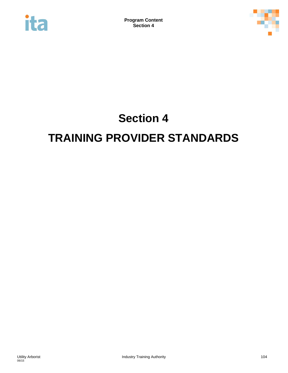



# **Section 4 TRAINING PROVIDER STANDARDS**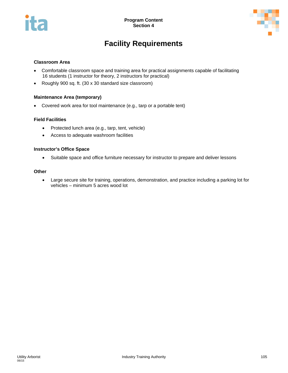



# **Facility Requirements**

### **Classroom Area**

- Comfortable classroom space and training area for practical assignments capable of facilitating 16 students (1 instructor for theory, 2 instructors for practical)
- Roughly 900 sq. ft. (30 x 30 standard size classroom)

### **Maintenance Area (temporary)**

Covered work area for tool maintenance (e.g., tarp or a portable tent)

### **Field Facilities**

- Protected lunch area (e.g., tarp, tent, vehicle)
- Access to adequate washroom facilities

### **Instructor's Office Space**

Suitable space and office furniture necessary for instructor to prepare and deliver lessons

### **Other**

 Large secure site for training, operations, demonstration, and practice including a parking lot for vehicles – minimum 5 acres wood lot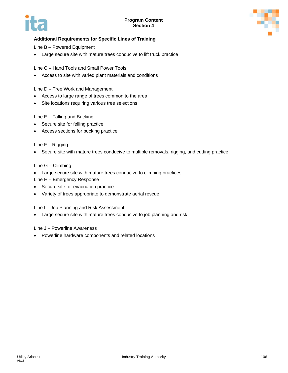# **Program Content Section 4**





# **Additional Requirements for Specific Lines of Training**

Line B – Powered Equipment

Large secure site with mature trees conducive to lift truck practice

Line C – Hand Tools and Small Power Tools

Access to site with varied plant materials and conditions

Line D – Tree Work and Management

- Access to large range of trees common to the area
- Site locations requiring various tree selections

### Line E – Falling and Bucking

- Secure site for felling practice
- Access sections for bucking practice

### Line F – Rigging

Secure site with mature trees conducive to multiple removals, rigging, and cutting practice

### Line G – Climbing

- Large secure site with mature trees conducive to climbing practices
- Line H Emergency Response
- Secure site for evacuation practice
- Variety of trees appropriate to demonstrate aerial rescue

Line I – Job Planning and Risk Assessment

Large secure site with mature trees conducive to job planning and risk

Line J – Powerline Awareness

Powerline hardware components and related locations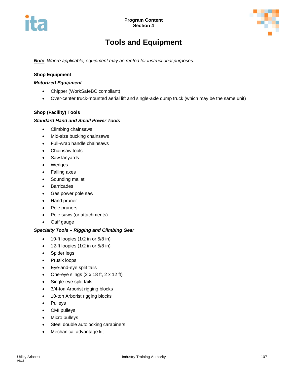

# **Tools and Equipment**

*Note: Where applicable, equipment may be rented for instructional purposes.* 

### **Shop Equipment**

# *Motorized Equipment*

- Chipper (WorkSafeBC compliant)
- Over-center truck-mounted aerial lift and single-axle dump truck (which may be the same unit)

### **Shop (Facility) Tools**

### *Standard Hand and Small Power Tools*

- Climbing chainsaws
- Mid-size bucking chainsaws
- Full-wrap handle chainsaws
- Chainsaw tools
- Saw lanyards
- Wedges
- Falling axes
- Sounding mallet
- **•** Barricades
- Gas power pole saw
- Hand pruner
- Pole pruners
- Pole saws (or attachments)
- Gaff gauge

# *Specialty Tools – Rigging and Climbing Gear*

- $\bullet$  10-ft loopies (1/2 in or 5/8 in)
- $\bullet$  12-ft loopies (1/2 in or 5/8 in)
- Spider legs
- Prusik loops
- Eye-and-eye split tails
- One-eye slings  $(2 \times 18$  ft,  $2 \times 12$  ft)
- Single-eye split tails
- 3/4-ton Arborist rigging blocks
- 10-ton Arborist rigging blocks
- Pulleys
- CMI pulleys
- Micro pulleys
- Steel double autolocking carabiners
- Mechanical advantage kit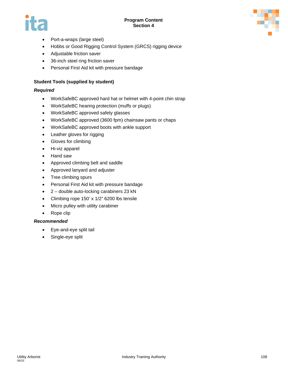# **Program Content Section 4**





- Port-a-wraps (large steel)
- Hobbs or Good Rigging Control System (GRCS) rigging device
- Adjustable friction saver
- 36-inch steel ring friction saver
- Personal First Aid kit with pressure bandage

# **Student Tools (supplied by student)**

#### *Required*

- WorkSafeBC approved hard hat or helmet with 4-point chin strap
- WorkSafeBC hearing protection (muffs or plugs)
- WorkSafeBC approved safety glasses
- WorkSafeBC approved (3600 fpm) chainsaw pants or chaps
- WorkSafeBC approved boots with ankle support
- Leather gloves for rigging
- Gloves for climbing
- Hi-viz apparel
- Hand saw
- Approved climbing belt and saddle
- Approved lanyard and adjuster
- Tree climbing spurs
- Personal First Aid kit with pressure bandage
- 2 double auto-locking carabiners 23 kN
- Climbing rope 150' x 1/2" 6200 lbs tensile
- Micro pulley with utility carabiner
- Rope clip

# *Recommended*

- Eye-and-eye split tail
- Single-eye split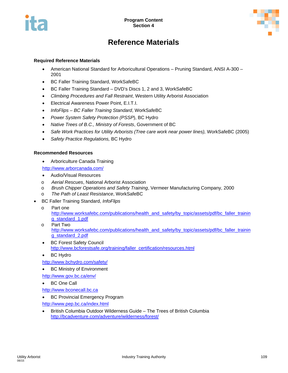



# **Reference Materials**

#### **Required Reference Materials**

- American National Standard for Arboricultural Operations Pruning Standard, ANSI A-300 2001
- BC Faller Training Standard, WorkSafeBC
- BC Faller Training Standard DVD's Discs 1, 2 and 3, WorkSafeBC
- *Climbing Procedures and Fall Restraint*, Western Utility Arborist Association
- Electrical Awareness Power Point, E.I.T.I.
- *InfoFlips BC Faller Training Standard*, WorkSafeBC
- *Power System Safety Protection (PSSP*), BC Hydro
- *Native Trees of B.C., Ministry of Forests*, Government of BC
- *Safe Work Practices for Utility Arborists (Tree care work near power lines),* WorkSafeBC (2005)
- *Safety Practice Regulations,* BC Hydro

# **Recommended Resources**

• Arboriculture Canada Training

http://www.arborcanada.com/

- Audio/Visual Resources
- o *Aerial Rescues*, National Arborist Association
- o *Brush Chipper Operations and Safety Training*, Vermeer Manufacturing Company, 2000
- o *The Path of Least Resistance*, WorkSafeBC
- BC Faller Training Standard, *InfoFlips*
- o Part one

http://www.worksafebc.com/publications/health\_and\_safety/by\_topic/assets/pdf/bc\_faller\_trainin g\_standard\_1.pdf

- o Part Two http://www.worksafebc.com/publications/health\_and\_safety/by\_topic/assets/pdf/bc\_faller\_trainin g\_standard\_2.pdf
- BC Forest Safety Council http://www.bcforestsafe.org/training/faller\_certification/resources.html
- BC Hydro

http://www.bchydro.com/safety/

BC Ministry of Environment

http://www.gov.bc.ca/env/

BC One Call

http://www.bconecall.bc.ca

• BC Provincial Emergency Program

http://www.pep.bc.ca/index.html

 British Columbia Outdoor Wilderness Guide – The Trees of British Columbia http://bcadventure.com/adventure/wilderness/forest/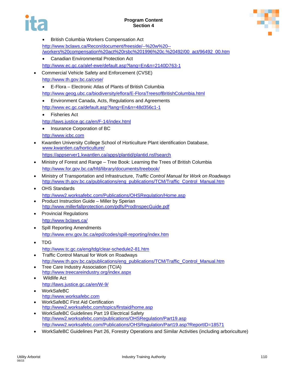



British Columbia Workers Compensation Act

http://www.bclaws.ca/Recon/document/freeside/--%20w%20-- /workers%20compensation%20act%20rsbc%201996%20c.%20492/00\_act/96492\_00.htm

- Canadian Environmental Protection Act http://www.ec.gc.ca/alef-ewe/default.asp?lang=En&n=2140D763-1
- Commercial Vehicle Safety and Enforcement (CVSE) http://www.th.gov.bc.ca/cvse/
	- E-Flora Electronic Atlas of Plants of British Columbia http://www.geog.ubc.ca/biodiversity/eflora/E-FloraTreesofBritishColumbia.html
	- Environment Canada, Acts, Regulations and Agreements
	- http://www.ec.gc.ca/default.asp?lang=En&n=48d356c1-1
	- Fisheries Act

http://laws.justice.gc.ca/en/F-14/index.html

• Insurance Corporation of BC

http://www.icbc.com

- Kwantlen University College School of Horticulture Plant identification Database, www.kwantlen.ca/horticulture/ https://appserver1.kwantlen.ca/apps/plantid/plantid.nsf/search
- Ministry of Forest and Range Tree Book: Learning the Trees of British Columbia http://www.for.gov.bc.ca/hfd/library/documents/treebook/
- Ministry of Transportation and Infrastructure, *Traffic Control Manual for Work on Roadways*  http://www.th.gov.bc.ca/publications/eng\_publications/TCM/Traffic\_Control\_Manual.htm
- OHS Standards http://www2.worksafebc.com/Publications/OHSRegulation/Home.asp
- Product Instruction Guide Miller by Sperian http://www.millerfallprotection.com/pdfs/ProdInspecGuide.pdf
- Provincial Regulations http://www.bclaws.ca/
- Spill Reporting Amendments http://www.env.gov.bc.ca/epd/codes/spill-reporting/index.htm
- TDG http://www.tc.gc.ca/eng/tdg/clear-schedule2-81.htm
- Traffic Control Manual for Work on Roadways http://www.th.gov.bc.ca/publications/eng\_publications/TCM/Traffic\_Control\_Manual.htm
- Tree Care Industry Association (TCIA) http://www.treecareindustry.org/index.aspx Wildlife Act
	- http://laws.justice.gc.ca/en/W-9/
- WorkSafeBC http://www.worksafebc.com
- WorkSafeBC First Aid Certification http://www2.worksafebc.com/topics/firstaid/home.asp
- WorkSafeBC Guidelines Part 19 Electrical Safety http://www2.worksafebc.com/publications/OHSRegulation/Part19.asp http://www2.worksafebc.com/Publications/OHSRegulation/Part19.asp?ReportID=18571
- WorkSafeBC Guidelines Part 26, Forestry Operations and Similar Activities (including arboriculture)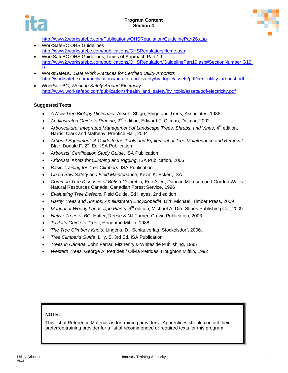



http://www2.worksafebc.com/Publications/OHSRegulation/GuidelinePart26.asp

- WorkSafeBC OHS Guidelines http://www2.worksafebc.com/publications/OHSRegulation/Home.asp
- WorkSafeBC OHS Guidelines, Limits of Approach Part 19 http://www2.worksafebc.com/publications/OHSRegulation/GuidelinePart19.asp#SectionNumber:G19. 9
- WorksSafeBC, *Safe Work Practices for Certified Utility Arborists* http://worksafebc.com/publications/health\_and\_safety/by\_topic/assets/pdf/cert\_utility\_arborist.pdf
- WorkSafeBC, *Working Safely Around Electricity* http://www.worksafebc.com/publications/health\_and\_safety/by\_topic/assets/pdf/electricity.pdf

# **Suggested Texts**

- *A New Tree Biology Dictionary*, Alex L. Shigo, Shigo and Trees, Associates, 1986
- An Illustrated Guide to Pruning, 2<sup>nd</sup> edition, Edward F. Gilman, Delmar, 2002
- Arboriculture: Integrated Management of Landscape Trees, Shrubs, and Vines, 4<sup>th</sup> edition, Harris, Clark and Matheny, Prentice Hall, 2004
- *Arborist Equipment: A Guide to the Tools and Equipment of Tree Maintenance and Removal*. Blair, Donald F. 2<sup>nd</sup> Ed. ISA Publication
- *Arborists' Certification Study Guide*, ISA Publication
- *Arborists' Knots for Climbing and Rigging*, ISA Publication, 2006
- *Basic Training for Tree Climbers*, ISA Publication
- *Chain Saw Safety and Field Maintenance*, Kevin K. Eckert, ISA
- *Common Tree Diseases of British Columbia,* Eric Allen, Duncan Morrison and Gordon Wallis, Natural Resources Canada, Canadian Forest Service, 1996
- *Evaluating Tree Defects*, Field Guide, Ed Hayes, 2nd edition
- *Hardy Trees and Shrubs: An Illustrated Encyclopedia*, Dirr, Michael, Timber Press, 2009
- *Manual of Woody Landscape Plants*, 9<sup>th</sup> edition, Michael A. Dirr, Stipes Publishing Co., 2009
- *Native Trees of BC*, Halter, Reese & NJ Turner, Crown Publication, 2003
- *Taylor's Guide to Trees*, Houghton Mifflin, 1988
- *The Tree Climbers Knots*, Lingens, D., Schlauverlag, Stockelsdorf, 2006.
- *Tree Climber's Guide*. Lilly, S. 3rd Ed. ISA Publication
- *Trees in Canada*, John Farrar, Fitzhenry & Whiteside Publishing, 1995
- *Western Trees,* George A. Petrides / Olivia Petrides, Houghton Mifflin, 1992

# **NOTE:**

This list of Reference Materials is for training providers. Apprentices should contact their preferred training provider for a list of recommended or required texts for this program.